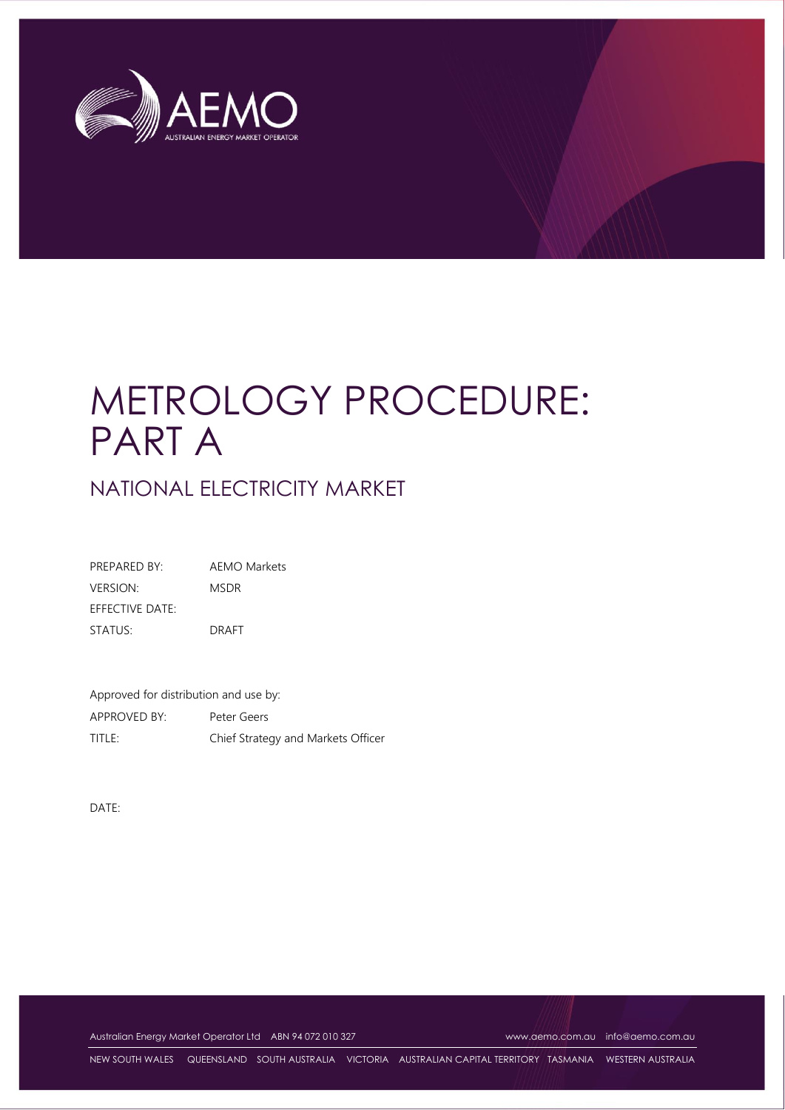

# METROLOGY PROCEDURE: PART A

NATIONAL ELECTRICITY MARKET

PREPARED BY: AEMO Markets VERSION: MSDR EFFECTIVE DATE: STATUS: DRAFT

Approved for distribution and use by: APPROVED BY: Peter Geers TITLE: Chief Strategy and Markets Officer

DATE:

Australian Energy Market Operator Ltd ABN 94 072 010 327 [www.aemo.com.au](http://www.aemo.com.au/) [info@aemo.com.au](mailto:info@aemo.com.au) info@aemo.com.au

NEW SOUTH WALES QUEENSLAND SOUTH AUSTRALIA VICTORIA AUSTRALIAN CAPITAL TERRITORY TASMANIA WESTERN AUSTRALIA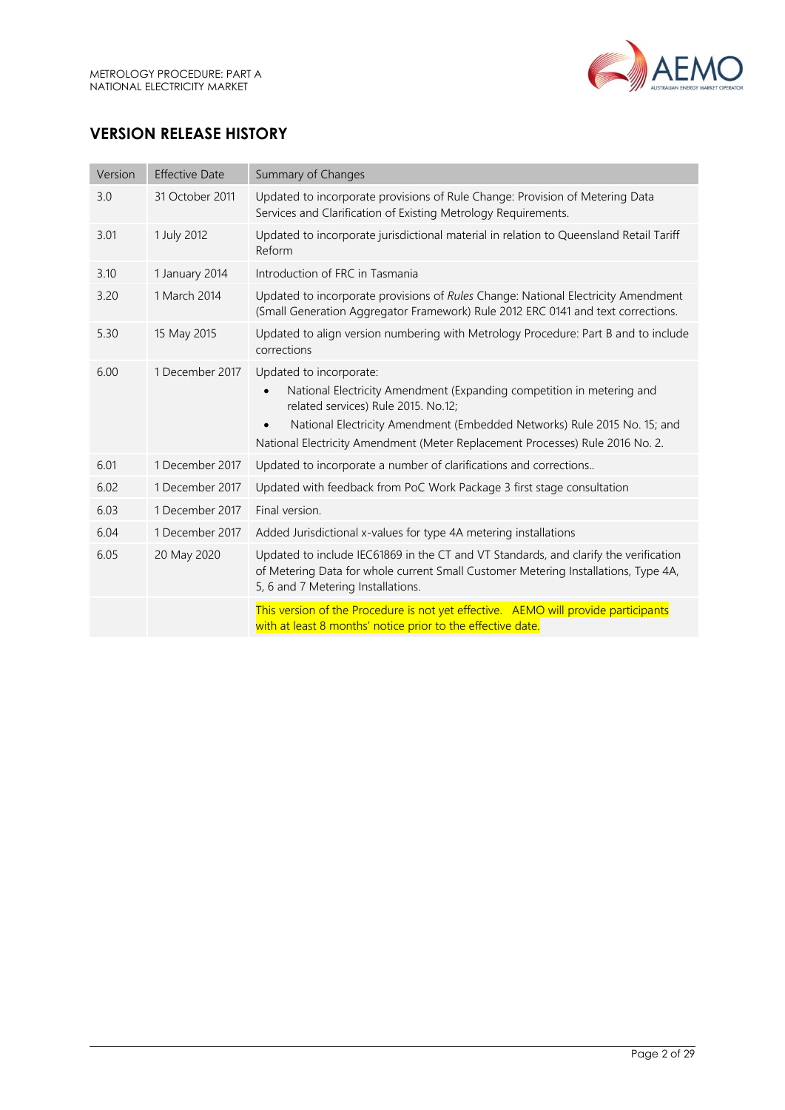

# **VERSION RELEASE HISTORY**

| Version | <b>Effective Date</b> | Summary of Changes                                                                                                                                                                                                                                                                                   |  |
|---------|-----------------------|------------------------------------------------------------------------------------------------------------------------------------------------------------------------------------------------------------------------------------------------------------------------------------------------------|--|
| 3.0     | 31 October 2011       | Updated to incorporate provisions of Rule Change: Provision of Metering Data<br>Services and Clarification of Existing Metrology Requirements.                                                                                                                                                       |  |
| 3.01    | 1 July 2012           | Updated to incorporate jurisdictional material in relation to Queensland Retail Tariff<br>Reform                                                                                                                                                                                                     |  |
| 3.10    | 1 January 2014        | Introduction of FRC in Tasmania                                                                                                                                                                                                                                                                      |  |
| 3.20    | 1 March 2014          | Updated to incorporate provisions of Rules Change: National Electricity Amendment<br>(Small Generation Aggregator Framework) Rule 2012 ERC 0141 and text corrections.                                                                                                                                |  |
| 5.30    | 15 May 2015           | Updated to align version numbering with Metrology Procedure: Part B and to include<br>corrections                                                                                                                                                                                                    |  |
| 6.00    | 1 December 2017       | Updated to incorporate:<br>National Electricity Amendment (Expanding competition in metering and<br>related services) Rule 2015. No.12;<br>National Electricity Amendment (Embedded Networks) Rule 2015 No. 15; and<br>National Electricity Amendment (Meter Replacement Processes) Rule 2016 No. 2. |  |
| 6.01    | 1 December 2017       | Updated to incorporate a number of clarifications and corrections                                                                                                                                                                                                                                    |  |
| 6.02    | 1 December 2017       | Updated with feedback from PoC Work Package 3 first stage consultation                                                                                                                                                                                                                               |  |
| 6.03    | 1 December 2017       | Final version.                                                                                                                                                                                                                                                                                       |  |
| 6.04    | 1 December 2017       | Added Jurisdictional x-values for type 4A metering installations                                                                                                                                                                                                                                     |  |
| 6.05    | 20 May 2020           | Updated to include IEC61869 in the CT and VT Standards, and clarify the verification<br>of Metering Data for whole current Small Customer Metering Installations, Type 4A,<br>5, 6 and 7 Metering Installations.                                                                                     |  |
|         |                       | This version of the Procedure is not yet effective. AEMO will provide participants<br>with at least 8 months' notice prior to the effective date.                                                                                                                                                    |  |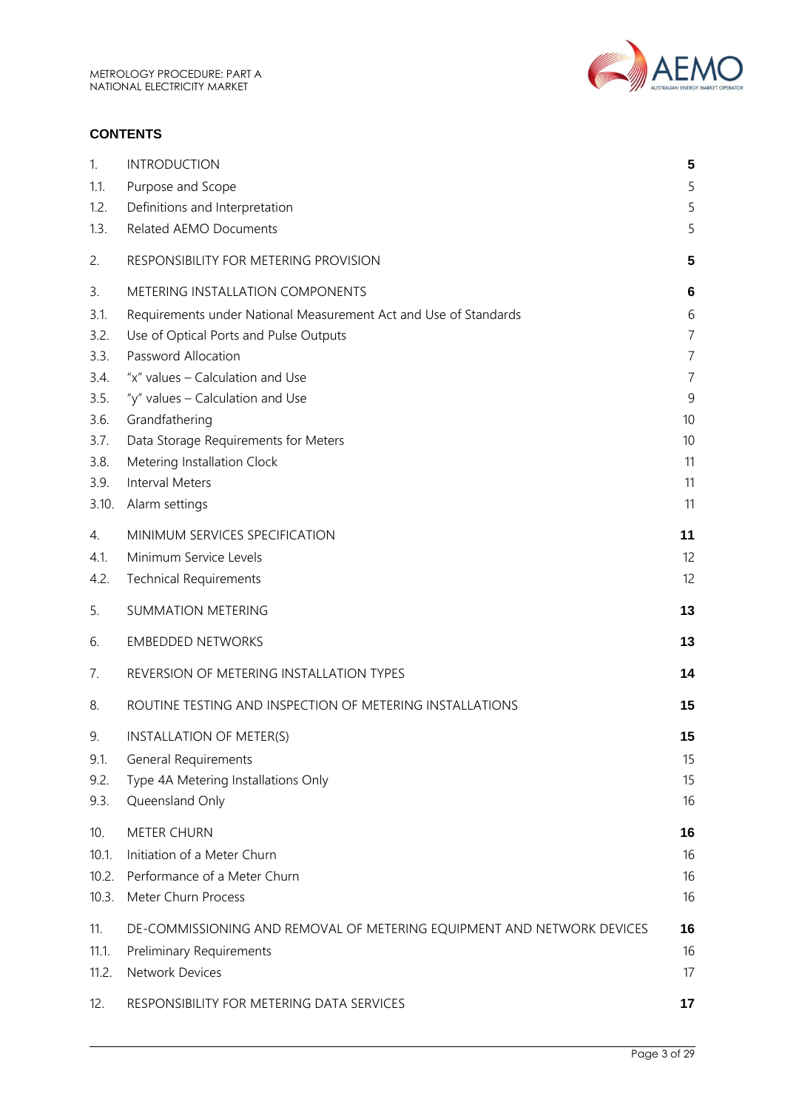

#### **CONTENTS**

| 1.    | <b>INTRODUCTION</b>                                                    | 5              |
|-------|------------------------------------------------------------------------|----------------|
| 1.1.  | Purpose and Scope                                                      | 5              |
| 1.2.  | Definitions and Interpretation                                         | 5              |
| 1.3.  | <b>Related AEMO Documents</b>                                          | 5              |
| 2.    | RESPONSIBILITY FOR METERING PROVISION                                  | 5              |
| 3.    | METERING INSTALLATION COMPONENTS                                       | 6              |
| 3.1.  | Requirements under National Measurement Act and Use of Standards       | 6              |
| 3.2.  | Use of Optical Ports and Pulse Outputs                                 | $\overline{7}$ |
| 3.3.  | Password Allocation                                                    | $\overline{7}$ |
| 3.4.  | "x" values - Calculation and Use                                       | 7              |
| 3.5.  | "y" values - Calculation and Use                                       | 9              |
| 3.6.  | Grandfathering                                                         | 10             |
| 3.7.  | Data Storage Requirements for Meters                                   | 10             |
| 3.8.  | Metering Installation Clock                                            | 11             |
| 3.9.  | <b>Interval Meters</b>                                                 | 11             |
| 3.10. | Alarm settings                                                         | 11             |
| 4.    | MINIMUM SERVICES SPECIFICATION                                         | 11             |
| 4.1.  | Minimum Service Levels                                                 | 12             |
| 4.2.  | <b>Technical Requirements</b>                                          | 12             |
| 5.    | <b>SUMMATION METERING</b>                                              | 13             |
| 6.    | <b>EMBEDDED NETWORKS</b>                                               | 13             |
| 7.    | REVERSION OF METERING INSTALLATION TYPES                               | 14             |
| 8.    | ROUTINE TESTING AND INSPECTION OF METERING INSTALLATIONS               | 15             |
| 9.    | INSTALLATION OF METER(S)                                               | 15             |
| 9.1.  | <b>General Requirements</b>                                            | 15             |
| 9.2.  | Type 4A Metering Installations Only                                    | 15             |
| 9.3.  | Queensland Only                                                        | 16             |
| 10.   | <b>METER CHURN</b>                                                     | 16             |
| 10.1. | Initiation of a Meter Churn                                            | 16             |
| 10.2. | Performance of a Meter Churn                                           | 16             |
| 10.3. | Meter Churn Process                                                    | 16             |
|       |                                                                        |                |
| 11.   | DE-COMMISSIONING AND REMOVAL OF METERING EQUIPMENT AND NETWORK DEVICES | 16             |
| 11.1. | Preliminary Requirements                                               | 16             |
| 11.2. | Network Devices                                                        | 17             |
| 12.   | RESPONSIBILITY FOR METERING DATA SERVICES                              | 17             |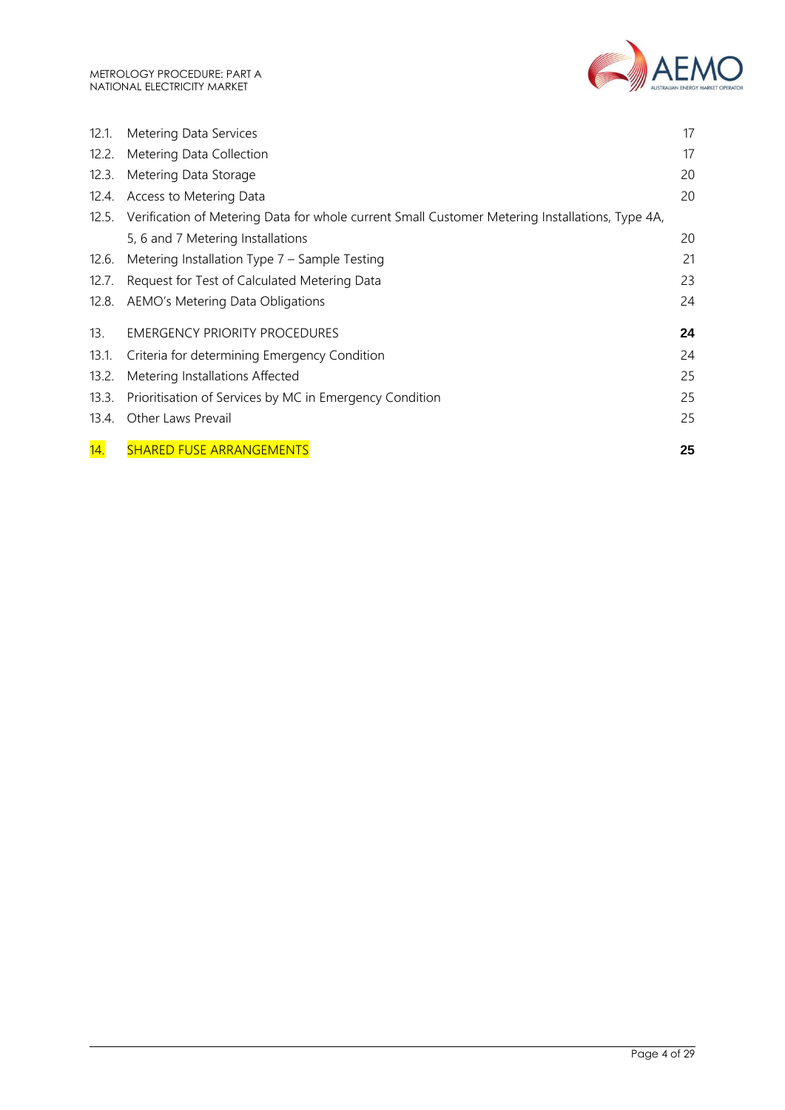

| 12.1. | Metering Data Services                                                                          | 17 |
|-------|-------------------------------------------------------------------------------------------------|----|
|       |                                                                                                 |    |
| 12.2. | Metering Data Collection                                                                        | 17 |
| 12.3. | Metering Data Storage                                                                           | 20 |
| 12.4. | Access to Metering Data                                                                         | 20 |
| 12.5. | Verification of Metering Data for whole current Small Customer Metering Installations, Type 4A, |    |
|       | 5, 6 and 7 Metering Installations                                                               | 20 |
| 12.6. | Metering Installation Type 7 - Sample Testing                                                   | 21 |
| 12.7. | Request for Test of Calculated Metering Data                                                    | 23 |
| 12.8. | AEMO's Metering Data Obligations                                                                | 24 |
| 13.   | <b>EMERGENCY PRIORITY PROCEDURES</b>                                                            | 24 |
| 13.1. | Criteria for determining Emergency Condition                                                    | 24 |
| 13.2. | Metering Installations Affected                                                                 | 25 |
| 13.3. | Prioritisation of Services by MC in Emergency Condition                                         | 25 |
| 13.4. | Other Laws Prevail                                                                              | 25 |
| 14.   | <b>SHARED FUSE ARRANGEMENTS</b>                                                                 | 25 |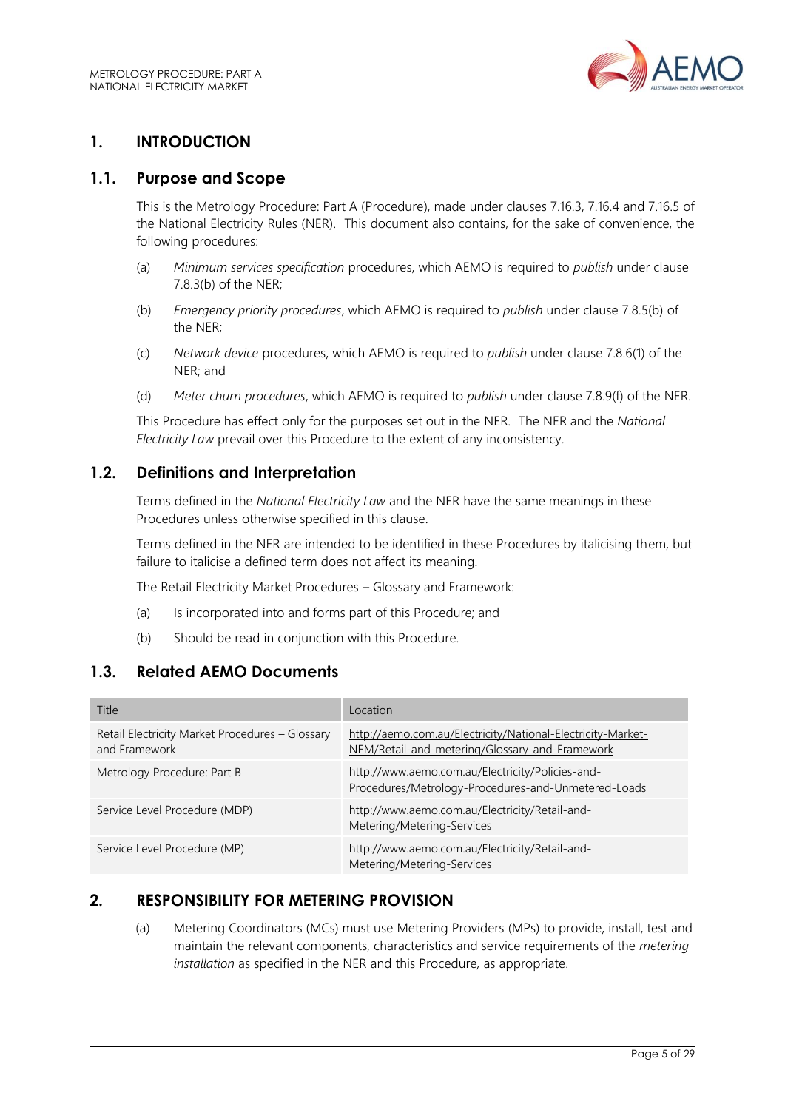

# <span id="page-4-0"></span>**1. INTRODUCTION**

#### <span id="page-4-1"></span>**1.1. Purpose and Scope**

This is the Metrology Procedure: Part A (Procedure), made under clauses 7.16.3, 7.16.4 and 7.16.5 of the National Electricity Rules (NER). This document also contains, for the sake of convenience, the following procedures:

- (a) *Minimum services specification* procedures, which AEMO is required to *publish* under clause 7.8.3(b) of the NER;
- (b) *Emergency priority procedures*, which AEMO is required to *publish* under clause 7.8.5(b) of the NER;
- (c) *Network device* procedures, which AEMO is required to *publish* under clause 7.8.6(1) of the NER; and
- (d) *Meter churn procedures*, which AEMO is required to *publish* under clause 7.8.9(f) of the NER.

This Procedure has effect only for the purposes set out in the NER. The NER and the *National Electricity Law* prevail over this Procedure to the extent of any inconsistency.

## <span id="page-4-2"></span>**1.2. Definitions and Interpretation**

Terms defined in the *National Electricity Law* and the NER have the same meanings in these Procedures unless otherwise specified in this clause.

Terms defined in the NER are intended to be identified in these Procedures by italicising them, but failure to italicise a defined term does not affect its meaning.

The Retail Electricity Market Procedures – Glossary and Framework:

- (a) Is incorporated into and forms part of this Procedure; and
- (b) Should be read in conjunction with this Procedure.

## <span id="page-4-3"></span>**1.3. Related AEMO Documents**

| Title                                                            | Location                                                                                                      |
|------------------------------------------------------------------|---------------------------------------------------------------------------------------------------------------|
| Retail Electricity Market Procedures - Glossary<br>and Framework | http://aemo.com.au/Electricity/National-Electricity-Market-<br>NEM/Retail-and-metering/Glossary-and-Framework |
| Metrology Procedure: Part B                                      | http://www.aemo.com.au/Electricity/Policies-and-<br>Procedures/Metrology-Procedures-and-Unmetered-Loads       |
| Service Level Procedure (MDP)                                    | http://www.aemo.com.au/Electricity/Retail-and-<br>Metering/Metering-Services                                  |
| Service Level Procedure (MP)                                     | http://www.aemo.com.au/Electricity/Retail-and-<br>Metering/Metering-Services                                  |

## <span id="page-4-4"></span>**2. RESPONSIBILITY FOR METERING PROVISION**

(a) Metering Coordinators (MCs) must use Metering Providers (MPs) to provide, install, test and maintain the relevant components, characteristics and service requirements of the *metering installation* as specified in the NER and this Procedure*,* as appropriate.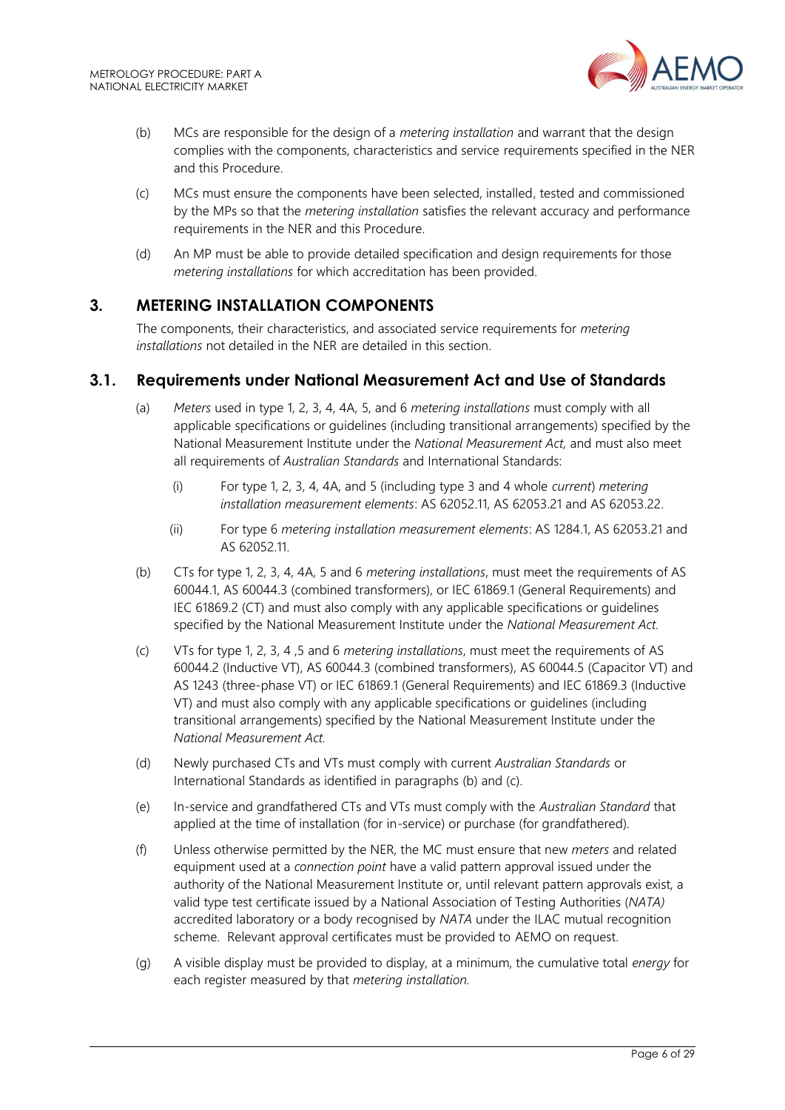

- (b) MCs are responsible for the design of a *metering installation* and warrant that the design complies with the components, characteristics and service requirements specified in the NER and this Procedure.
- (c) MCs must ensure the components have been selected, installed, tested and commissioned by the MPs so that the *metering installation* satisfies the relevant accuracy and performance requirements in the NER and this Procedure.
- (d) An MP must be able to provide detailed specification and design requirements for those *metering installations* for which accreditation has been provided.

## <span id="page-5-0"></span>**3. METERING INSTALLATION COMPONENTS**

The components, their characteristics, and associated service requirements for *metering installations* not detailed in the NER are detailed in this section.

## <span id="page-5-1"></span>**3.1. Requirements under National Measurement Act and Use of Standards**

- (a) *Meters* used in type 1, 2, 3, 4, 4A, 5, and 6 *metering installations* must comply with all applicable specifications or guidelines (including transitional arrangements) specified by the National Measurement Institute under the *National Measurement Act,* and must also meet all requirements of *Australian Standards* and International Standards:
	- (i) For type 1, 2, 3, 4, 4A, and 5 (including type 3 and 4 whole *current*) *metering installation measurement elements*: AS 62052.11, AS 62053.21 and AS 62053.22.
	- (ii) For type 6 *metering installation measurement elements*: AS 1284.1, AS 62053.21 and AS 62052.11.
- (b) CTs for type 1, 2, 3, 4, 4A, 5 and 6 *metering installations*, must meet the requirements of AS 60044.1, AS 60044.3 (combined transformers), or IEC 61869.1 (General Requirements) and IEC 61869.2 (CT) and must also comply with any applicable specifications or guidelines specified by the National Measurement Institute under the *National Measurement Act.*
- (c) VTs for type 1, 2, 3, 4 ,5 and 6 *metering installations*, must meet the requirements of AS 60044.2 (Inductive VT), AS 60044.3 (combined transformers), AS 60044.5 (Capacitor VT) and AS 1243 (three-phase VT) or IEC 61869.1 (General Requirements) and IEC 61869.3 (Inductive VT) and must also comply with any applicable specifications or guidelines (including transitional arrangements) specified by the National Measurement Institute under the *National Measurement Act.*
- (d) Newly purchased CTs and VTs must comply with current *Australian Standards* or International Standards as identified in paragraphs (b) and (c).
- (e) In-service and grandfathered CTs and VTs must comply with the *Australian Standard* that applied at the time of installation (for in-service) or purchase (for grandfathered).
- (f) Unless otherwise permitted by the NER, the MC must ensure that new *meters* and related equipment used at a *connection point* have a valid pattern approval issued under the authority of the National Measurement Institute or, until relevant pattern approvals exist, a valid type test certificate issued by a National Association of Testing Authorities (*NATA)* accredited laboratory or a body recognised by *NATA* under the ILAC mutual recognition scheme. Relevant approval certificates must be provided to AEMO on request.
- (g) A visible display must be provided to display, at a minimum, the cumulative total *energy* for each register measured by that *metering installation.*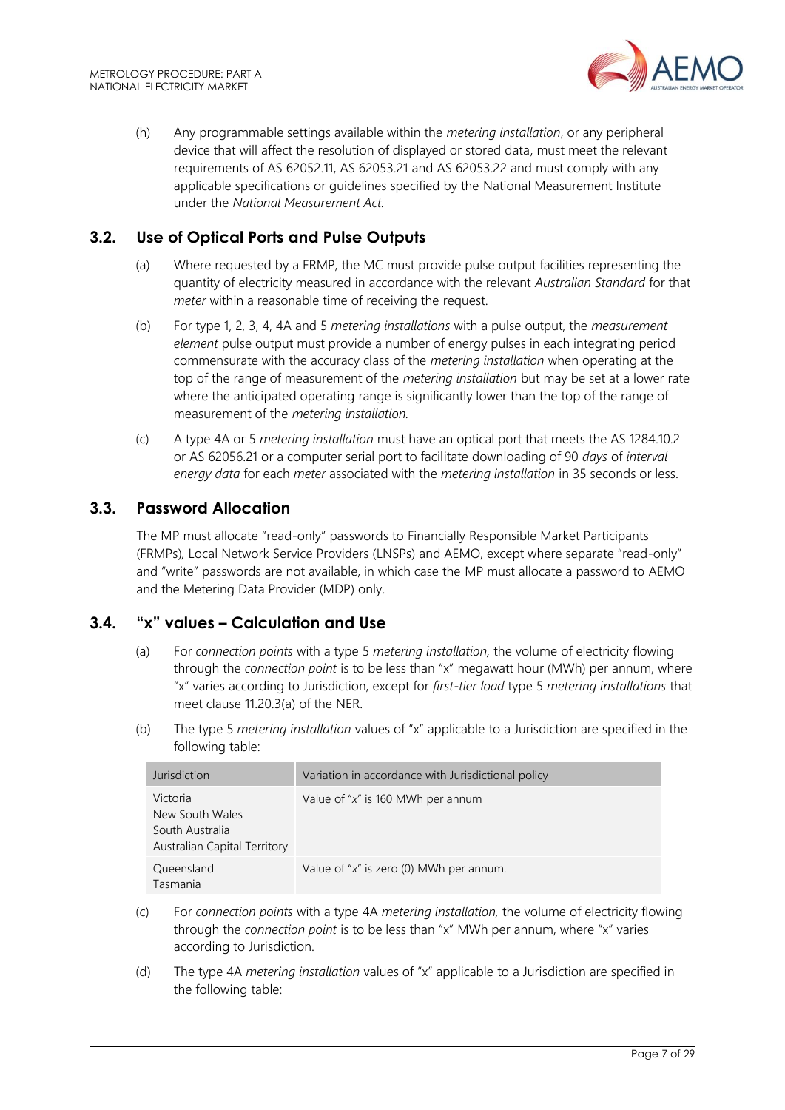

(h) Any programmable settings available within the *metering installation*, or any peripheral device that will affect the resolution of displayed or stored data, must meet the relevant requirements of AS 62052.11, AS 62053.21 and AS 62053.22 and must comply with any applicable specifications or guidelines specified by the National Measurement Institute under the *National Measurement Act.*

## <span id="page-6-0"></span>**3.2. Use of Optical Ports and Pulse Outputs**

- (a) Where requested by a FRMP, the MC must provide pulse output facilities representing the quantity of electricity measured in accordance with the relevant *Australian Standard* for that *meter* within a reasonable time of receiving the request.
- (b) For type 1, 2, 3, 4, 4A and 5 *metering installations* with a pulse output, the *measurement element* pulse output must provide a number of energy pulses in each integrating period commensurate with the accuracy class of the *metering installation* when operating at the top of the range of measurement of the *metering installation* but may be set at a lower rate where the anticipated operating range is significantly lower than the top of the range of measurement of the *metering installation.*
- (c) A type 4A or 5 *metering installation* must have an optical port that meets the AS 1284.10.2 or AS 62056.21 or a computer serial port to facilitate downloading of 90 *days* of *interval energy data* for each *meter* associated with the *metering installation* in 35 seconds or less.

## <span id="page-6-1"></span>**3.3. Password Allocation**

The MP must allocate "read-only" passwords to Financially Responsible Market Participants (FRMPs)*,* Local Network Service Providers (LNSPs) and AEMO, except where separate "read-only" and "write" passwords are not available, in which case the MP must allocate a password to AEMO and the Metering Data Provider (MDP) only.

## <span id="page-6-2"></span>**3.4. "x" values – Calculation and Use**

- (a) For *connection points* with a type 5 *metering installation,* the volume of electricity flowing through the *connection point* is to be less than "x" megawatt hour (MWh) per annum, where "x" varies according to Jurisdiction, except for *first-tier load* type 5 *metering installations* that meet clause 11.20.3(a) of the NER.
- (b) The type 5 *metering installation* values of "x" applicable to a Jurisdiction are specified in the following table:

| Jurisdiction                                                                   | Variation in accordance with Jurisdictional policy |
|--------------------------------------------------------------------------------|----------------------------------------------------|
| Victoria<br>New South Wales<br>South Australia<br>Australian Capital Territory | Value of " $x$ " is 160 MWh per annum              |
| Queensland<br>Tasmania                                                         | Value of " $x$ " is zero (0) MWh per annum.        |

- (c) For *connection points* with a type 4A *metering installation,* the volume of electricity flowing through the *connection point* is to be less than "x" MWh per annum, where "x" varies according to Jurisdiction.
- (d) The type 4A *metering installation* values of "x" applicable to a Jurisdiction are specified in the following table: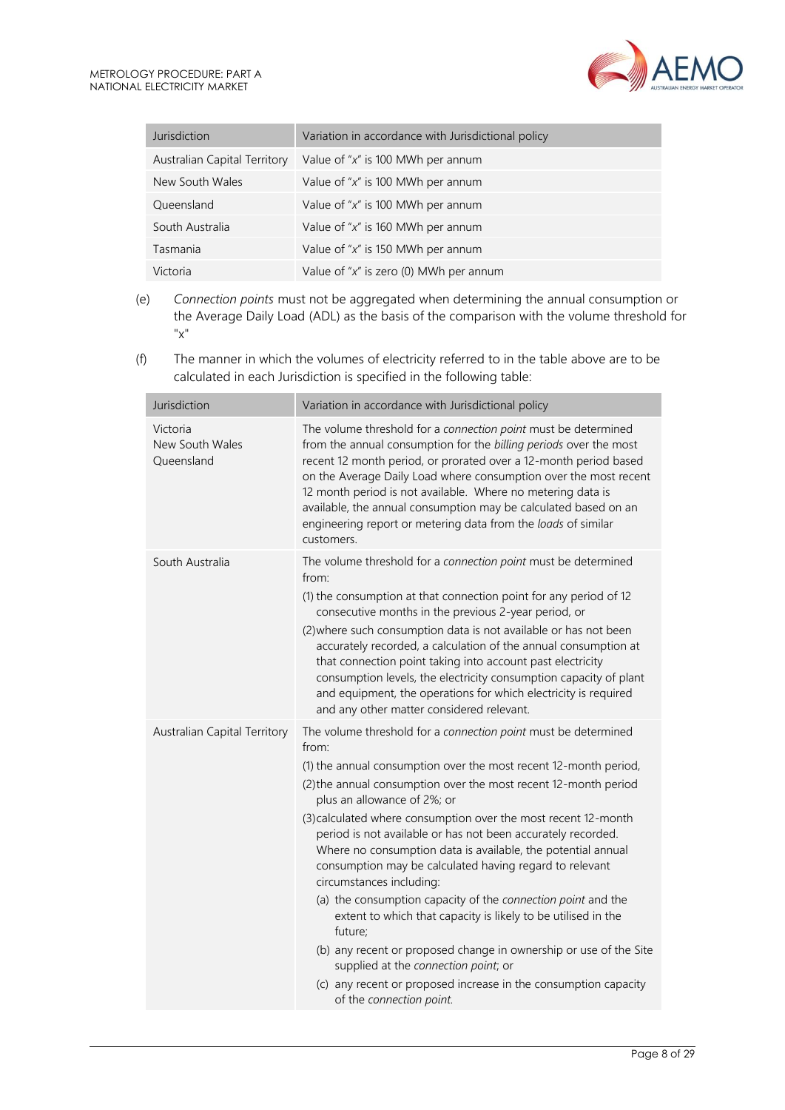| Jurisdiction                 | Variation in accordance with Jurisdictional policy |
|------------------------------|----------------------------------------------------|
| Australian Capital Territory | Value of " $x$ " is 100 MWh per annum              |
| New South Wales              | Value of " $x$ " is 100 MWh per annum              |
| Queensland                   | Value of " $x$ " is 100 MWh per annum              |
| South Australia              | Value of " $x$ " is 160 MWh per annum              |
| Tasmania                     | Value of " $x$ " is 150 MWh per annum              |
| Victoria                     | Value of " $x$ " is zero (0) MWh per annum         |

- (e) *Connection points* must not be aggregated when determining the annual consumption or the Average Daily Load (ADL) as the basis of the comparison with the volume threshold for "x"
- (f) The manner in which the volumes of electricity referred to in the table above are to be calculated in each Jurisdiction is specified in the following table:

| Jurisdiction                              | Variation in accordance with Jurisdictional policy                                                                                                                                                                                                                                                                                                                                                                                                                                                                                                                                                                                                                                                                                                                                                                                                                                             |
|-------------------------------------------|------------------------------------------------------------------------------------------------------------------------------------------------------------------------------------------------------------------------------------------------------------------------------------------------------------------------------------------------------------------------------------------------------------------------------------------------------------------------------------------------------------------------------------------------------------------------------------------------------------------------------------------------------------------------------------------------------------------------------------------------------------------------------------------------------------------------------------------------------------------------------------------------|
| Victoria<br>New South Wales<br>Queensland | The volume threshold for a connection point must be determined<br>from the annual consumption for the billing periods over the most<br>recent 12 month period, or prorated over a 12-month period based<br>on the Average Daily Load where consumption over the most recent<br>12 month period is not available. Where no metering data is<br>available, the annual consumption may be calculated based on an<br>engineering report or metering data from the loads of similar<br>customers.                                                                                                                                                                                                                                                                                                                                                                                                   |
| South Australia                           | The volume threshold for a connection point must be determined<br>from:<br>(1) the consumption at that connection point for any period of 12<br>consecutive months in the previous 2-year period, or<br>(2) where such consumption data is not available or has not been<br>accurately recorded, a calculation of the annual consumption at<br>that connection point taking into account past electricity<br>consumption levels, the electricity consumption capacity of plant<br>and equipment, the operations for which electricity is required<br>and any other matter considered relevant.                                                                                                                                                                                                                                                                                                 |
| Australian Capital Territory              | The volume threshold for a connection point must be determined<br>from:<br>(1) the annual consumption over the most recent 12-month period,<br>(2) the annual consumption over the most recent 12-month period<br>plus an allowance of 2%; or<br>(3) calculated where consumption over the most recent 12-month<br>period is not available or has not been accurately recorded.<br>Where no consumption data is available, the potential annual<br>consumption may be calculated having regard to relevant<br>circumstances including:<br>(a) the consumption capacity of the connection point and the<br>extent to which that capacity is likely to be utilised in the<br>future;<br>(b) any recent or proposed change in ownership or use of the Site<br>supplied at the connection point; or<br>(c) any recent or proposed increase in the consumption capacity<br>of the connection point. |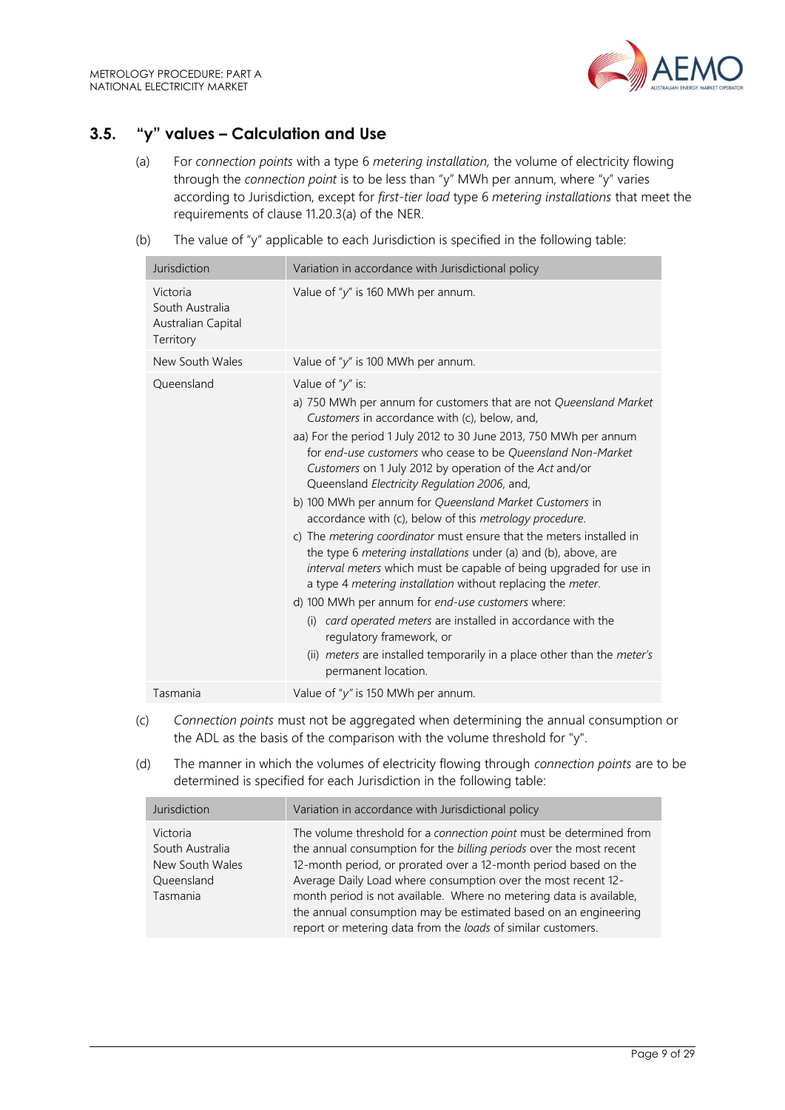

# <span id="page-8-0"></span>**3.5. "y" values – Calculation and Use**

- (a) For *connection points* with a type 6 *metering installation,* the volume of electricity flowing through the *connection point* is to be less than "y" MWh per annum, where "y" varies according to Jurisdiction, except for *first-tier load* type 6 *metering installations* that meet the requirements of clause 11.20.3(a) of the NER.
- (b) The value of "y" applicable to each Jurisdiction is specified in the following table:

| Jurisdiction                                                   | Variation in accordance with Jurisdictional policy                                                                                                                                                                                                                                                                                                                                                                                                                                                                                                                                                                                                                                                                                                                                                                                                                                                                                                                                                                                                                          |  |
|----------------------------------------------------------------|-----------------------------------------------------------------------------------------------------------------------------------------------------------------------------------------------------------------------------------------------------------------------------------------------------------------------------------------------------------------------------------------------------------------------------------------------------------------------------------------------------------------------------------------------------------------------------------------------------------------------------------------------------------------------------------------------------------------------------------------------------------------------------------------------------------------------------------------------------------------------------------------------------------------------------------------------------------------------------------------------------------------------------------------------------------------------------|--|
| Victoria<br>South Australia<br>Australian Capital<br>Territory | Value of " $y$ " is 160 MWh per annum.                                                                                                                                                                                                                                                                                                                                                                                                                                                                                                                                                                                                                                                                                                                                                                                                                                                                                                                                                                                                                                      |  |
| New South Wales                                                | Value of " $y$ " is 100 MWh per annum.                                                                                                                                                                                                                                                                                                                                                                                                                                                                                                                                                                                                                                                                                                                                                                                                                                                                                                                                                                                                                                      |  |
| Oueensland                                                     | Value of " $y$ " is:<br>a) 750 MWh per annum for customers that are not Queensland Market<br>Customers in accordance with (c), below, and,<br>aa) For the period 1 July 2012 to 30 June 2013, 750 MWh per annum<br>for end-use customers who cease to be Queensland Non-Market<br>Customers on 1 July 2012 by operation of the Act and/or<br>Queensland Electricity Regulation 2006, and,<br>b) 100 MWh per annum for Queensland Market Customers in<br>accordance with (c), below of this metrology procedure.<br>c) The <i>metering coordinator</i> must ensure that the meters installed in<br>the type 6 metering installations under (a) and (b), above, are<br>interval meters which must be capable of being upgraded for use in<br>a type 4 metering installation without replacing the meter.<br>d) 100 MWh per annum for end-use customers where:<br>card operated meters are installed in accordance with the<br>(i)<br>regulatory framework, or<br>(ii) <i>meters</i> are installed temporarily in a place other than the <i>meter's</i><br>permanent location. |  |
| Tasmania                                                       | Value of " $y$ " is 150 MWh per annum.                                                                                                                                                                                                                                                                                                                                                                                                                                                                                                                                                                                                                                                                                                                                                                                                                                                                                                                                                                                                                                      |  |

- (c) *Connection points* must not be aggregated when determining the annual consumption or the ADL as the basis of the comparison with the volume threshold for "y".
- (d) The manner in which the volumes of electricity flowing through *connection points* are to be determined is specified for each Jurisdiction in the following table:

| Jurisdiction                                                             | Variation in accordance with Jurisdictional policy                                                                                                                                                                                                                                                                                                                                                                                                                                        |
|--------------------------------------------------------------------------|-------------------------------------------------------------------------------------------------------------------------------------------------------------------------------------------------------------------------------------------------------------------------------------------------------------------------------------------------------------------------------------------------------------------------------------------------------------------------------------------|
| Victoria<br>South Australia<br>New South Wales<br>Queensland<br>Tasmania | The volume threshold for a connection point must be determined from<br>the annual consumption for the billing periods over the most recent<br>12-month period, or prorated over a 12-month period based on the<br>Average Daily Load where consumption over the most recent 12-<br>month period is not available. Where no metering data is available,<br>the annual consumption may be estimated based on an engineering<br>report or metering data from the loads of similar customers. |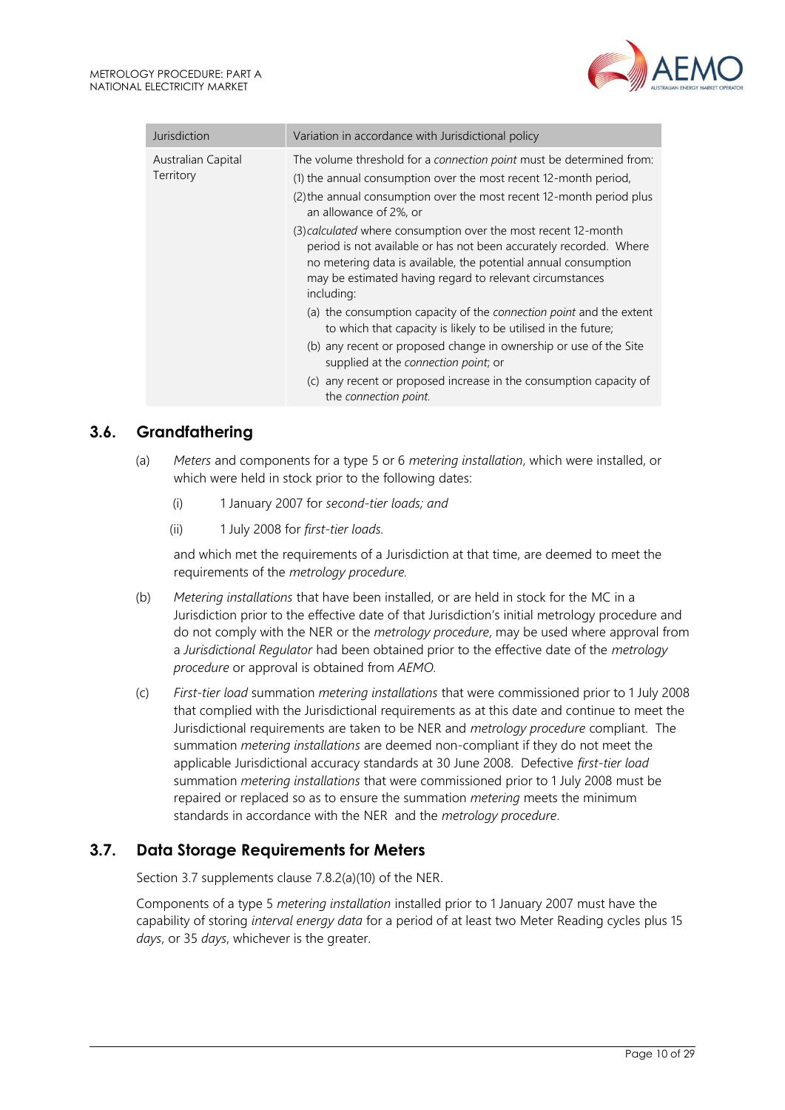

| Jurisdiction                    | Variation in accordance with Jurisdictional policy                                                                                                                                                                                                                                |
|---------------------------------|-----------------------------------------------------------------------------------------------------------------------------------------------------------------------------------------------------------------------------------------------------------------------------------|
| Australian Capital<br>Territory | The volume threshold for a connection point must be determined from:<br>(1) the annual consumption over the most recent 12-month period,<br>(2) the annual consumption over the most recent 12-month period plus<br>an allowance of 2%, or                                        |
|                                 | (3) calculated where consumption over the most recent 12-month<br>period is not available or has not been accurately recorded. Where<br>no metering data is available, the potential annual consumption<br>may be estimated having regard to relevant circumstances<br>including: |
|                                 | (a) the consumption capacity of the <i>connection point</i> and the extent<br>to which that capacity is likely to be utilised in the future;                                                                                                                                      |
|                                 | (b) any recent or proposed change in ownership or use of the Site<br>supplied at the connection point; or                                                                                                                                                                         |
|                                 | (c) any recent or proposed increase in the consumption capacity of<br>the connection point.                                                                                                                                                                                       |

## <span id="page-9-0"></span>**3.6. Grandfathering**

- (a) *Meters* and components for a type 5 or 6 *metering installation*, which were installed, or which were held in stock prior to the following dates:
	- (i) 1 January 2007 for *second-tier loads; and*
	- (ii) 1 July 2008 for *first-tier loads.*

and which met the requirements of a Jurisdiction at that time, are deemed to meet the requirements of the *metrology procedure.*

- (b) *Metering installations* that have been installed, or are held in stock for the MC in a Jurisdiction prior to the effective date of that Jurisdiction's initial metrology procedure and do not comply with the NER or the *metrology procedure*, may be used where approval from a *Jurisdictional Regulator* had been obtained prior to the effective date of the *metrology procedure* or approval is obtained from *AEMO.*
- (c) *First-tier load* summation *metering installations* that were commissioned prior to 1 July 2008 that complied with the Jurisdictional requirements as at this date and continue to meet the Jurisdictional requirements are taken to be NER and *metrology procedure* compliant. The summation *metering installations* are deemed non-compliant if they do not meet the applicable Jurisdictional accuracy standards at 30 June 2008. Defective *first-tier load* summation *metering installations* that were commissioned prior to 1 July 2008 must be repaired or replaced so as to ensure the summation *metering* meets the minimum standards in accordance with the NER and the *metrology procedure*.

## <span id="page-9-1"></span>**3.7. Data Storage Requirements for Meters**

Section 3.7 supplements clause 7.8.2(a)(10) of the NER.

Components of a type 5 *metering installation* installed prior to 1 January 2007 must have the capability of storing *interval energy data* for a period of at least two Meter Reading cycles plus 15 *days*, or 35 *days*, whichever is the greater.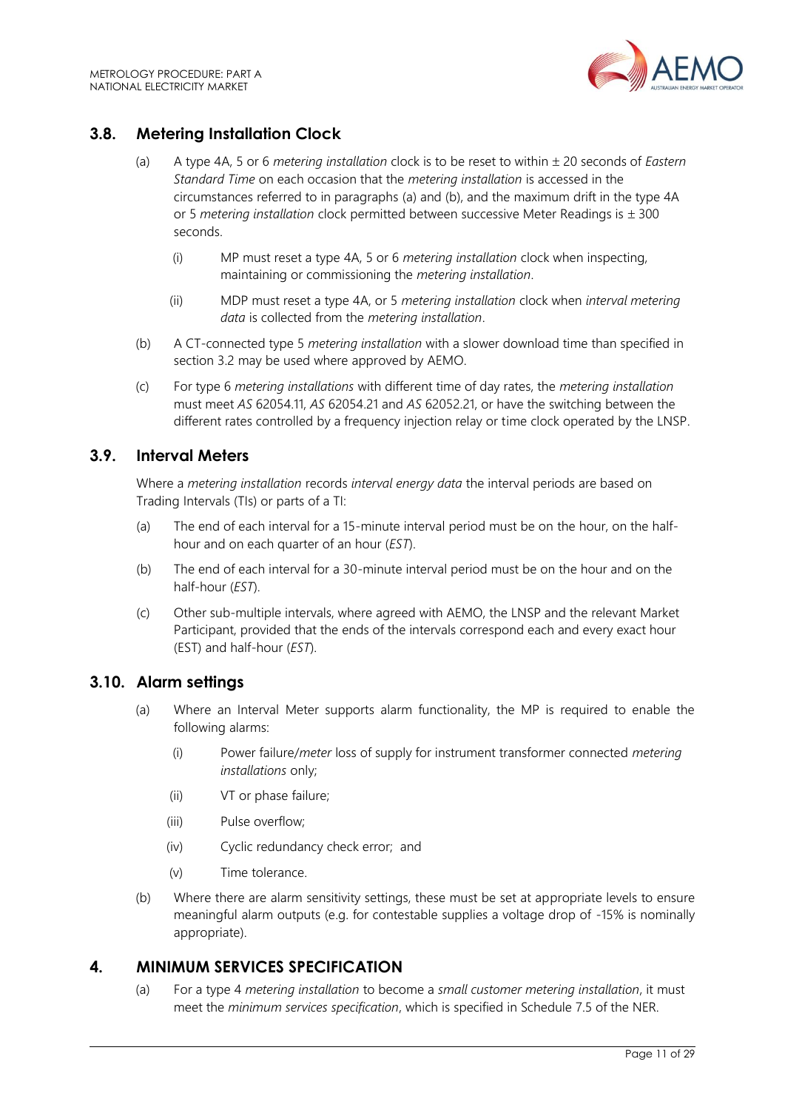

# <span id="page-10-0"></span>**3.8. Metering Installation Clock**

- (a) A type 4A, 5 or 6 *metering installation* clock is to be reset to within 20 seconds of *Eastern Standard Time* on each occasion that the *metering installation* is accessed in the circumstances referred to in paragraphs (a) and (b), and the maximum drift in the type 4A or 5 *metering installation* clock permitted between successive Meter Readings is  $\pm$  300 seconds.
	- (i) MP must reset a type 4A, 5 or 6 *metering installation* clock when inspecting, maintaining or commissioning the *metering installation*.
	- (ii) MDP must reset a type 4A, or 5 *metering installation* clock when *interval metering data* is collected from the *metering installation*.
- (b) A CT-connected type 5 *metering installation* with a slower download time than specified in section 3.2 may be used where approved by AEMO.
- (c) For type 6 *metering installations* with different time of day rates, the *metering installation* must meet *AS* 62054.11, *AS* 62054.21 and *AS* 62052.21, or have the switching between the different rates controlled by a frequency injection relay or time clock operated by the LNSP.

## <span id="page-10-1"></span>**3.9. Interval Meters**

Where a *metering installation* records *interval energy data* the interval periods are based on Trading Intervals (TIs) or parts of a TI:

- (a) The end of each interval for a 15-minute interval period must be on the hour, on the halfhour and on each quarter of an hour (*EST*).
- (b) The end of each interval for a 30-minute interval period must be on the hour and on the half-hour (*EST*).
- (c) Other sub-multiple intervals, where agreed with AEMO, the LNSP and the relevant Market Participant, provided that the ends of the intervals correspond each and every exact hour (EST) and half-hour (*EST*).

## <span id="page-10-2"></span>**3.10. Alarm settings**

- (a) Where an Interval Meter supports alarm functionality, the MP is required to enable the following alarms:
	- (i) Power failure/*meter* loss of supply for instrument transformer connected *metering installations* only;
	- (ii) VT or phase failure;
	- (iii) Pulse overflow;
	- (iv) Cyclic redundancy check error; and
	- (v) Time tolerance.
- (b) Where there are alarm sensitivity settings, these must be set at appropriate levels to ensure meaningful alarm outputs (e.g. for contestable supplies a voltage drop of -15% is nominally appropriate).

## <span id="page-10-3"></span>**4. MINIMUM SERVICES SPECIFICATION**

(a) For a type 4 *metering installation* to become a *small customer metering installation*, it must meet the *minimum services specification*, which is specified in Schedule 7.5 of the NER.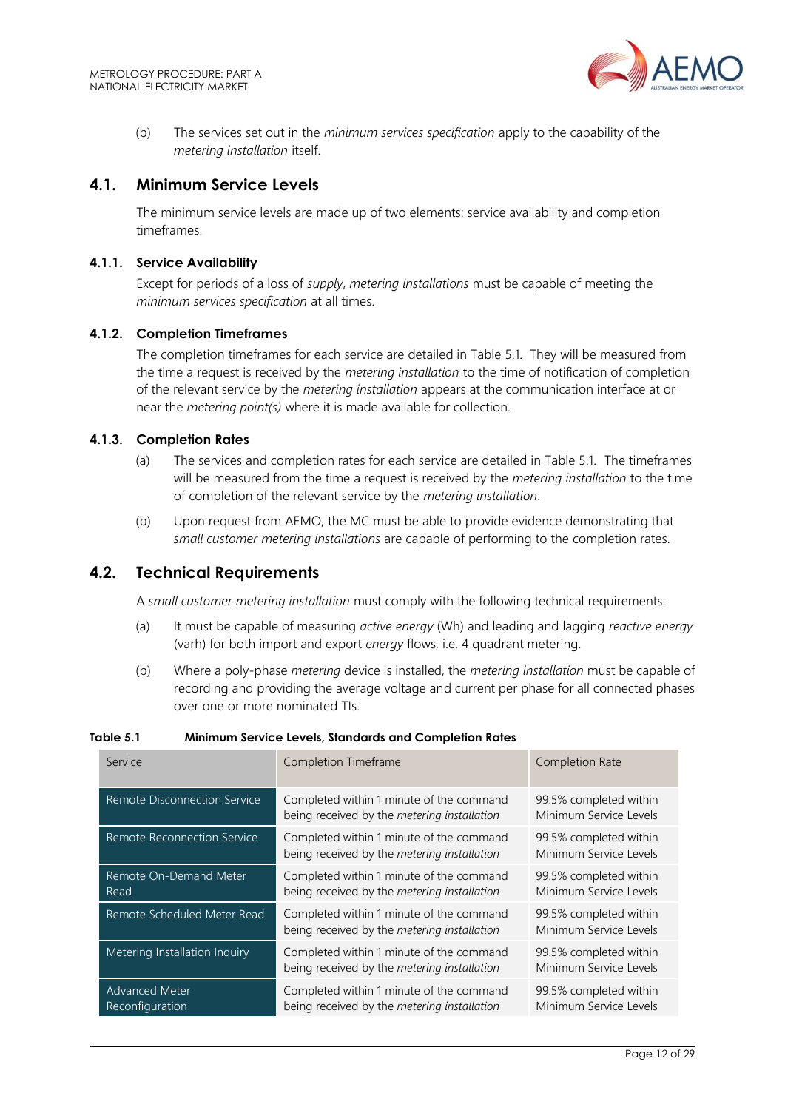

(b) The services set out in the *minimum services specification* apply to the capability of the *metering installation* itself.

## <span id="page-11-0"></span>**4.1. Minimum Service Levels**

The minimum service levels are made up of two elements: service availability and completion timeframes.

#### **4.1.1. Service Availability**

Except for periods of a loss of *supply*, *metering installations* must be capable of meeting the *minimum services specification* at all times.

#### **4.1.2. Completion Timeframes**

The completion timeframes for each service are detailed in Table 5.1. They will be measured from the time a request is received by the *metering installation* to the time of notification of completion of the relevant service by the *metering installation* appears at the communication interface at or near the *metering point(s)* where it is made available for collection.

#### **4.1.3. Completion Rates**

- (a) The services and completion rates for each service are detailed in Table 5.1. The timeframes will be measured from the time a request is received by the *metering installation* to the time of completion of the relevant service by the *metering installation*.
- (b) Upon request from AEMO, the MC must be able to provide evidence demonstrating that *small customer metering installations* are capable of performing to the completion rates.

#### <span id="page-11-1"></span>**4.2. Technical Requirements**

A *small customer metering installation* must comply with the following technical requirements:

- (a) It must be capable of measuring *active energy* (Wh) and leading and lagging *reactive energy* (varh) for both import and export *energy* flows, i.e. 4 quadrant metering.
- (b) Where a poly-phase *metering* device is installed, the *metering installation* must be capable of recording and providing the average voltage and current per phase for all connected phases over one or more nominated TIs.

| Service                                  | Completion Timeframe                                                                    | <b>Completion Rate</b>                           |
|------------------------------------------|-----------------------------------------------------------------------------------------|--------------------------------------------------|
| Remote Disconnection Service             | Completed within 1 minute of the command<br>being received by the metering installation | 99.5% completed within<br>Minimum Service Levels |
| Remote Reconnection Service              | Completed within 1 minute of the command<br>being received by the metering installation | 99.5% completed within<br>Minimum Service Levels |
| Remote On-Demand Meter<br>Read           | Completed within 1 minute of the command<br>being received by the metering installation | 99.5% completed within<br>Minimum Service Levels |
| Remote Scheduled Meter Read              | Completed within 1 minute of the command<br>being received by the metering installation | 99.5% completed within<br>Minimum Service Levels |
| Metering Installation Inquiry            | Completed within 1 minute of the command<br>being received by the metering installation | 99.5% completed within<br>Minimum Service Levels |
| <b>Advanced Meter</b><br>Reconfiguration | Completed within 1 minute of the command<br>being received by the metering installation | 99.5% completed within<br>Minimum Service Levels |

#### **Table 5.1 Minimum Service Levels, Standards and Completion Rates**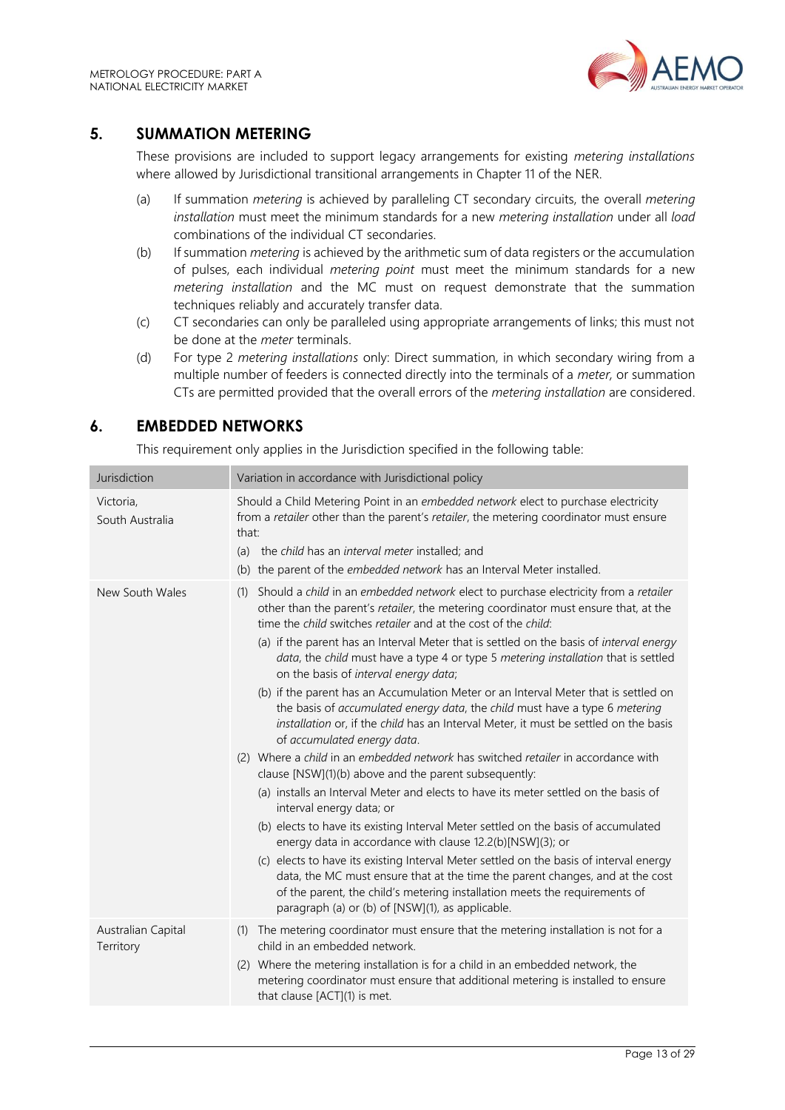

## <span id="page-12-0"></span>**5. SUMMATION METERING**

These provisions are included to support legacy arrangements for existing *metering installations* where allowed by Jurisdictional transitional arrangements in Chapter 11 of the NER.

- (a) If summation *metering* is achieved by paralleling CT secondary circuits, the overall *metering installation* must meet the minimum standards for a new *metering installation* under all *load* combinations of the individual CT secondaries.
- (b) If summation *metering* is achieved by the arithmetic sum of data registers or the accumulation of pulses, each individual *metering point* must meet the minimum standards for a new *metering installation* and the MC must on request demonstrate that the summation techniques reliably and accurately transfer data.
- (c) CT secondaries can only be paralleled using appropriate arrangements of links; this must not be done at the *meter* terminals.
- (d) For type 2 *metering installations* only: Direct summation, in which secondary wiring from a multiple number of feeders is connected directly into the terminals of a *meter,* or summation CTs are permitted provided that the overall errors of the *metering installation* are considered.

## <span id="page-12-1"></span>**6. EMBEDDED NETWORKS**

This requirement only applies in the Jurisdiction specified in the following table:

| Jurisdiction                    | Variation in accordance with Jurisdictional policy                                                                                                                                                                                                                                                                                                                                                                                                                                                                                                                                                                                                                                                                                                                                                                                                                                                                                                                                                                                                                                                                                                                                                                                                                                                                                                                                                                                                                                                          |
|---------------------------------|-------------------------------------------------------------------------------------------------------------------------------------------------------------------------------------------------------------------------------------------------------------------------------------------------------------------------------------------------------------------------------------------------------------------------------------------------------------------------------------------------------------------------------------------------------------------------------------------------------------------------------------------------------------------------------------------------------------------------------------------------------------------------------------------------------------------------------------------------------------------------------------------------------------------------------------------------------------------------------------------------------------------------------------------------------------------------------------------------------------------------------------------------------------------------------------------------------------------------------------------------------------------------------------------------------------------------------------------------------------------------------------------------------------------------------------------------------------------------------------------------------------|
| Victoria,<br>South Australia    | Should a Child Metering Point in an embedded network elect to purchase electricity<br>from a retailer other than the parent's retailer, the metering coordinator must ensure<br>that:<br>(a) the child has an interval meter installed; and<br>(b) the parent of the embedded network has an Interval Meter installed.                                                                                                                                                                                                                                                                                                                                                                                                                                                                                                                                                                                                                                                                                                                                                                                                                                                                                                                                                                                                                                                                                                                                                                                      |
| New South Wales                 | Should a child in an embedded network elect to purchase electricity from a retailer<br>(1)<br>other than the parent's retailer, the metering coordinator must ensure that, at the<br>time the child switches retailer and at the cost of the child:<br>(a) if the parent has an Interval Meter that is settled on the basis of interval energy<br>data, the child must have a type 4 or type 5 metering installation that is settled<br>on the basis of interval energy data;<br>(b) if the parent has an Accumulation Meter or an Interval Meter that is settled on<br>the basis of accumulated energy data, the child must have a type 6 metering<br>installation or, if the child has an Interval Meter, it must be settled on the basis<br>of accumulated energy data.<br>(2) Where a child in an embedded network has switched retailer in accordance with<br>clause [NSW](1)(b) above and the parent subsequently:<br>(a) installs an Interval Meter and elects to have its meter settled on the basis of<br>interval energy data; or<br>(b) elects to have its existing Interval Meter settled on the basis of accumulated<br>energy data in accordance with clause 12.2(b)[NSW](3); or<br>(c) elects to have its existing Interval Meter settled on the basis of interval energy<br>data, the MC must ensure that at the time the parent changes, and at the cost<br>of the parent, the child's metering installation meets the requirements of<br>paragraph (a) or (b) of [NSW](1), as applicable. |
| Australian Capital<br>Territory | (1) The metering coordinator must ensure that the metering installation is not for a<br>child in an embedded network.<br>(2) Where the metering installation is for a child in an embedded network, the<br>metering coordinator must ensure that additional metering is installed to ensure<br>that clause [ACT](1) is met.                                                                                                                                                                                                                                                                                                                                                                                                                                                                                                                                                                                                                                                                                                                                                                                                                                                                                                                                                                                                                                                                                                                                                                                 |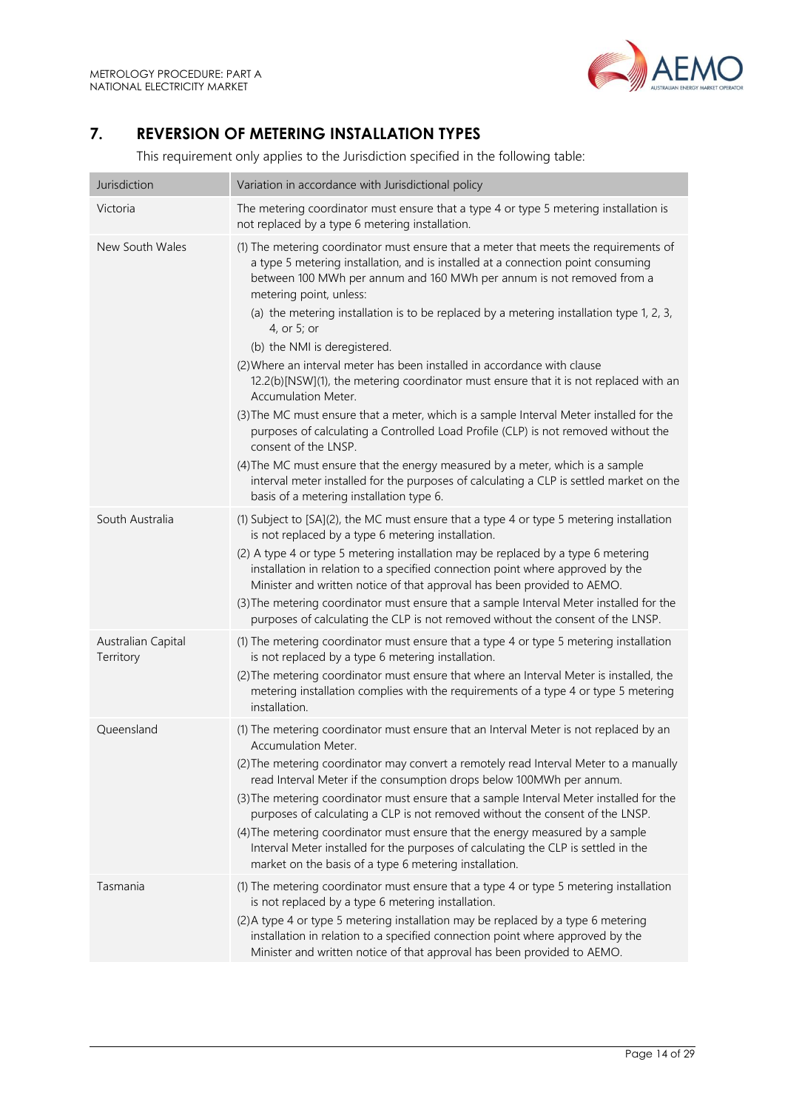

# <span id="page-13-0"></span>**7. REVERSION OF METERING INSTALLATION TYPES**

This requirement only applies to the Jurisdiction specified in the following table:

| Jurisdiction                    | Variation in accordance with Jurisdictional policy                                                                                                                                                                                                                                                                                                                                                                                                                                                                                                                                                                                                                                                                                                                                                                                                                                                                                                                                                                                                   |
|---------------------------------|------------------------------------------------------------------------------------------------------------------------------------------------------------------------------------------------------------------------------------------------------------------------------------------------------------------------------------------------------------------------------------------------------------------------------------------------------------------------------------------------------------------------------------------------------------------------------------------------------------------------------------------------------------------------------------------------------------------------------------------------------------------------------------------------------------------------------------------------------------------------------------------------------------------------------------------------------------------------------------------------------------------------------------------------------|
| Victoria                        | The metering coordinator must ensure that a type 4 or type 5 metering installation is<br>not replaced by a type 6 metering installation.                                                                                                                                                                                                                                                                                                                                                                                                                                                                                                                                                                                                                                                                                                                                                                                                                                                                                                             |
| New South Wales                 | (1) The metering coordinator must ensure that a meter that meets the requirements of<br>a type 5 metering installation, and is installed at a connection point consuming<br>between 100 MWh per annum and 160 MWh per annum is not removed from a<br>metering point, unless:<br>(a) the metering installation is to be replaced by a metering installation type 1, 2, 3,<br>4, or 5; or<br>(b) the NMI is deregistered.<br>(2) Where an interval meter has been installed in accordance with clause<br>12.2(b)[NSW](1), the metering coordinator must ensure that it is not replaced with an<br>Accumulation Meter.<br>(3) The MC must ensure that a meter, which is a sample Interval Meter installed for the<br>purposes of calculating a Controlled Load Profile (CLP) is not removed without the<br>consent of the LNSP.<br>(4) The MC must ensure that the energy measured by a meter, which is a sample<br>interval meter installed for the purposes of calculating a CLP is settled market on the<br>basis of a metering installation type 6. |
| South Australia                 | (1) Subject to [SA](2), the MC must ensure that a type 4 or type 5 metering installation<br>is not replaced by a type 6 metering installation.<br>(2) A type 4 or type 5 metering installation may be replaced by a type 6 metering<br>installation in relation to a specified connection point where approved by the<br>Minister and written notice of that approval has been provided to AEMO.<br>(3) The metering coordinator must ensure that a sample Interval Meter installed for the<br>purposes of calculating the CLP is not removed without the consent of the LNSP.                                                                                                                                                                                                                                                                                                                                                                                                                                                                       |
| Australian Capital<br>Territory | (1) The metering coordinator must ensure that a type 4 or type 5 metering installation<br>is not replaced by a type 6 metering installation.<br>(2) The metering coordinator must ensure that where an Interval Meter is installed, the<br>metering installation complies with the requirements of a type 4 or type 5 metering<br>installation.                                                                                                                                                                                                                                                                                                                                                                                                                                                                                                                                                                                                                                                                                                      |
| Queensland                      | (1) The metering coordinator must ensure that an Interval Meter is not replaced by an<br>Accumulation Meter.<br>(2) The metering coordinator may convert a remotely read Interval Meter to a manually<br>read Interval Meter if the consumption drops below 100MWh per annum.<br>(3) The metering coordinator must ensure that a sample Interval Meter installed for the<br>purposes of calculating a CLP is not removed without the consent of the LNSP.<br>(4) The metering coordinator must ensure that the energy measured by a sample<br>Interval Meter installed for the purposes of calculating the CLP is settled in the<br>market on the basis of a type 6 metering installation.                                                                                                                                                                                                                                                                                                                                                           |
| Tasmania                        | (1) The metering coordinator must ensure that a type 4 or type 5 metering installation<br>is not replaced by a type 6 metering installation.<br>(2) A type 4 or type 5 metering installation may be replaced by a type 6 metering<br>installation in relation to a specified connection point where approved by the<br>Minister and written notice of that approval has been provided to AEMO.                                                                                                                                                                                                                                                                                                                                                                                                                                                                                                                                                                                                                                                       |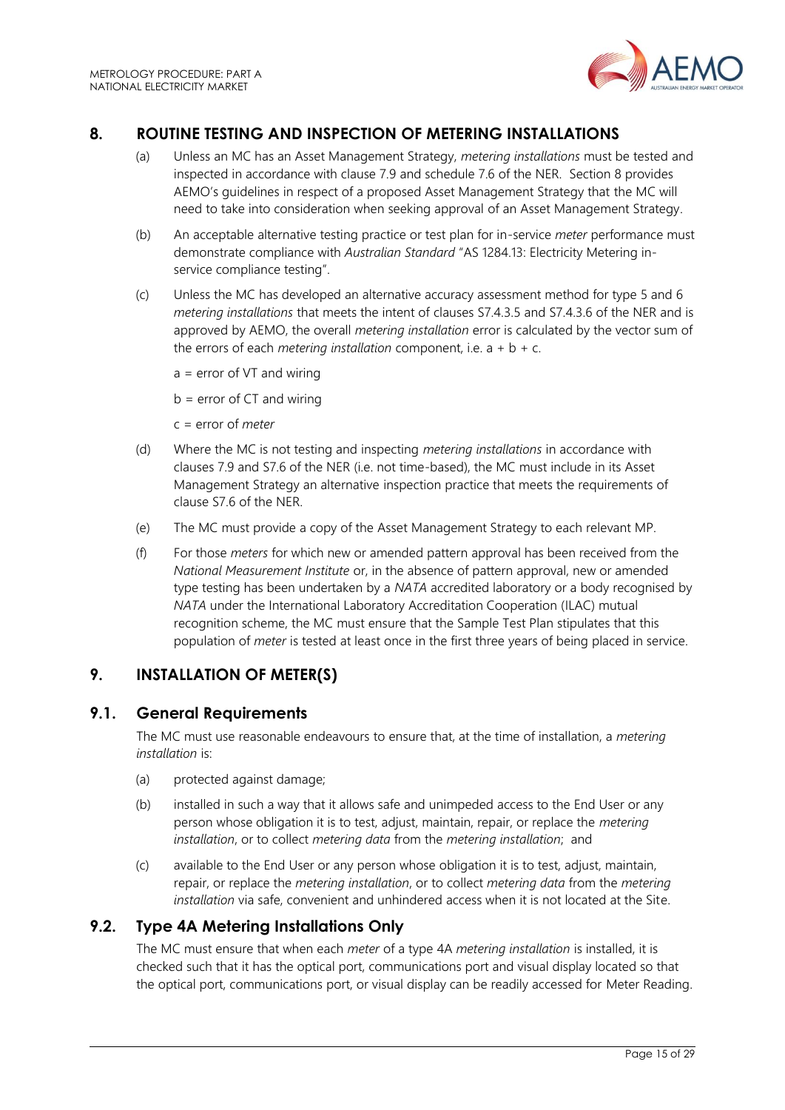

# <span id="page-14-0"></span>**8. ROUTINE TESTING AND INSPECTION OF METERING INSTALLATIONS**

- (a) Unless an MC has an Asset Management Strategy, *metering installations* must be tested and inspected in accordance with clause 7.9 and schedule 7.6 of the NER. Section 8 provides AEMO's guidelines in respect of a proposed Asset Management Strategy that the MC will need to take into consideration when seeking approval of an Asset Management Strategy.
- (b) An acceptable alternative testing practice or test plan for in-service *meter* performance must demonstrate compliance with *Australian Standard* "AS 1284.13: Electricity Metering inservice compliance testing".
- (c) Unless the MC has developed an alternative accuracy assessment method for type 5 and 6 *metering installations* that meets the intent of clauses S7.4.3.5 and S7.4.3.6 of the NER and is approved by AEMO, the overall *metering installation* error is calculated by the vector sum of the errors of each *metering installation* component, i.e.  $a + b + c$ .
	- $a = error of VT and wiring$

 $b = error of CT and wiring$ 

- c = error of *meter*
- (d) Where the MC is not testing and inspecting *metering installations* in accordance with clauses 7.9 and S7.6 of the NER (i.e. not time-based), the MC must include in its Asset Management Strategy an alternative inspection practice that meets the requirements of clause S7.6 of the NER.
- (e) The MC must provide a copy of the Asset Management Strategy to each relevant MP.
- (f) For those *meters* for which new or amended pattern approval has been received from the *National Measurement Institute* or, in the absence of pattern approval, new or amended type testing has been undertaken by a *NATA* accredited laboratory or a body recognised by *NATA* under the International Laboratory Accreditation Cooperation (ILAC) mutual recognition scheme, the MC must ensure that the Sample Test Plan stipulates that this population of *meter* is tested at least once in the first three years of being placed in service.

# <span id="page-14-1"></span>**9. INSTALLATION OF METER(S)**

## <span id="page-14-2"></span>**9.1. General Requirements**

The MC must use reasonable endeavours to ensure that, at the time of installation, a *metering installation* is:

- (a) protected against damage;
- (b) installed in such a way that it allows safe and unimpeded access to the End User or any person whose obligation it is to test, adjust, maintain, repair, or replace the *metering installation*, or to collect *metering data* from the *metering installation*; and
- (c) available to the End User or any person whose obligation it is to test, adjust, maintain, repair, or replace the *metering installation*, or to collect *metering data* from the *metering installation* via safe, convenient and unhindered access when it is not located at the Site.

## <span id="page-14-3"></span>**9.2. Type 4A Metering Installations Only**

The MC must ensure that when each *meter* of a type 4A *metering installation* is installed, it is checked such that it has the optical port, communications port and visual display located so that the optical port, communications port, or visual display can be readily accessed for Meter Reading.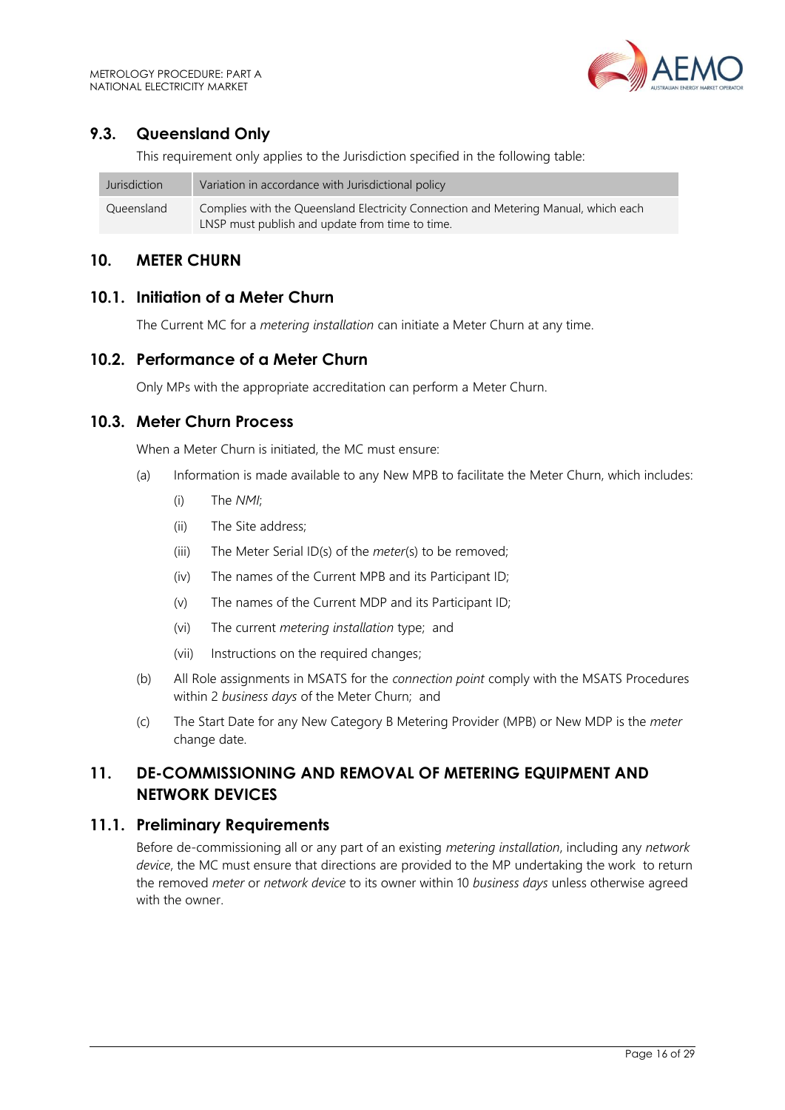# <span id="page-15-0"></span>**9.3. Queensland Only**

This requirement only applies to the Jurisdiction specified in the following table:

| Jurisdiction | Variation in accordance with Jurisdictional policy                                  |
|--------------|-------------------------------------------------------------------------------------|
| Queensland   | Complies with the Queensland Electricity Connection and Metering Manual, which each |
|              | LNSP must publish and update from time to time.                                     |

## <span id="page-15-1"></span>**10. METER CHURN**

## <span id="page-15-2"></span>**10.1. Initiation of a Meter Churn**

The Current MC for a *metering installation* can initiate a Meter Churn at any time.

## <span id="page-15-3"></span>**10.2. Performance of a Meter Churn**

Only MPs with the appropriate accreditation can perform a Meter Churn.

## <span id="page-15-4"></span>**10.3. Meter Churn Process**

When a Meter Churn is initiated, the MC must ensure:

- (a) Information is made available to any New MPB to facilitate the Meter Churn, which includes:
	- (i) The *NMI*;
	- (ii) The Site address;
	- (iii) The Meter Serial ID(s) of the *meter*(s) to be removed;
	- (iv) The names of the Current MPB and its Participant ID;
	- (v) The names of the Current MDP and its Participant ID;
	- (vi) The current *metering installation* type; and
	- (vii) Instructions on the required changes;
- (b) All Role assignments in MSATS for the *connection point* comply with the MSATS Procedures within 2 *business days* of the Meter Churn; and
- (c) The Start Date for any New Category B Metering Provider (MPB) or New MDP is the *meter* change date.

# <span id="page-15-5"></span>**11. DE-COMMISSIONING AND REMOVAL OF METERING EQUIPMENT AND NETWORK DEVICES**

#### <span id="page-15-6"></span>**11.1. Preliminary Requirements**

Before de-commissioning all or any part of an existing *metering installation*, including any *network device*, the MC must ensure that directions are provided to the MP undertaking the work to return the removed *meter* or *network device* to its owner within 10 *business days* unless otherwise agreed with the owner.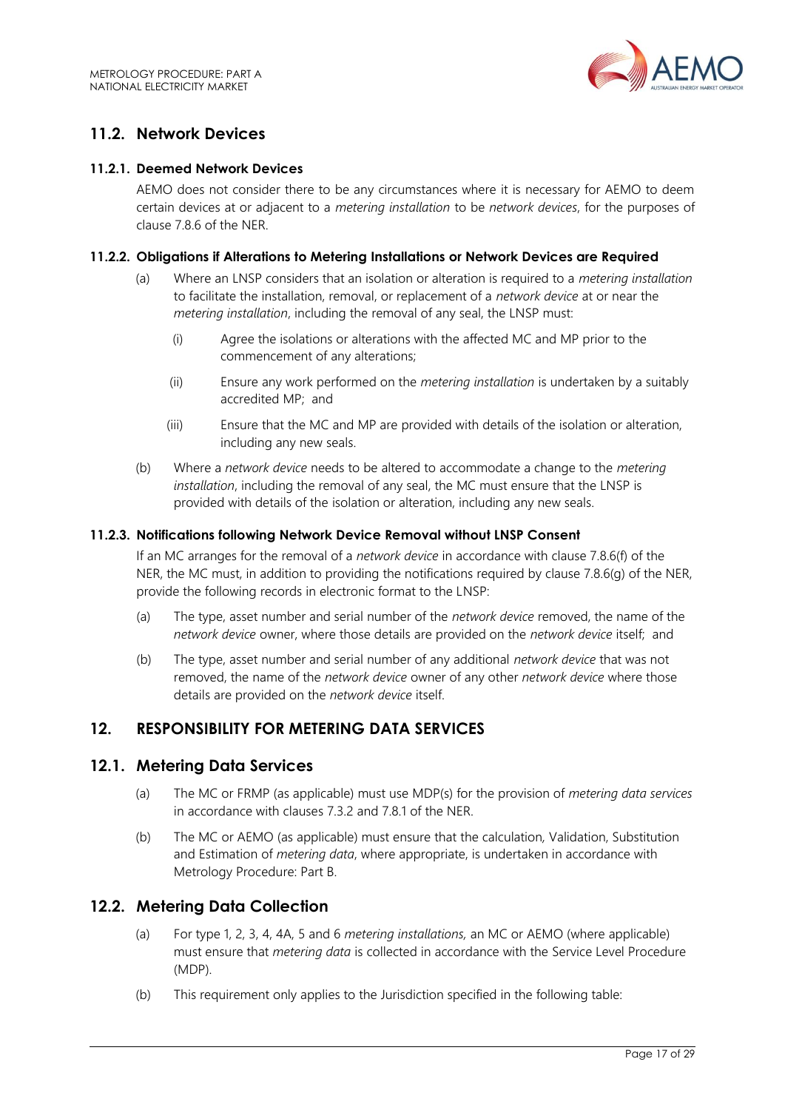

# <span id="page-16-0"></span>**11.2. Network Devices**

#### **11.2.1. Deemed Network Devices**

AEMO does not consider there to be any circumstances where it is necessary for AEMO to deem certain devices at or adjacent to a *metering installation* to be *network devices*, for the purposes of clause 7.8.6 of the NER.

#### **11.2.2. Obligations if Alterations to Metering Installations or Network Devices are Required**

- (a) Where an LNSP considers that an isolation or alteration is required to a *metering installation* to facilitate the installation, removal, or replacement of a *network device* at or near the *metering installation*, including the removal of any seal, the LNSP must:
	- (i) Agree the isolations or alterations with the affected MC and MP prior to the commencement of any alterations;
	- (ii) Ensure any work performed on the *metering installation* is undertaken by a suitably accredited MP; and
	- (iii) Ensure that the MC and MP are provided with details of the isolation or alteration, including any new seals.
- (b) Where a *network device* needs to be altered to accommodate a change to the *metering installation*, including the removal of any seal, the MC must ensure that the LNSP is provided with details of the isolation or alteration, including any new seals.

#### **11.2.3. Notifications following Network Device Removal without LNSP Consent**

If an MC arranges for the removal of a *network device* in accordance with clause 7.8.6(f) of the NER, the MC must, in addition to providing the notifications required by clause 7.8.6(g) of the NER. provide the following records in electronic format to the LNSP:

- (a) The type, asset number and serial number of the *network device* removed, the name of the *network device* owner, where those details are provided on the *network device* itself; and
- (b) The type, asset number and serial number of any additional *network device* that was not removed, the name of the *network device* owner of any other *network device* where those details are provided on the *network device* itself.

## <span id="page-16-1"></span>**12. RESPONSIBILITY FOR METERING DATA SERVICES**

#### <span id="page-16-2"></span>**12.1. Metering Data Services**

- (a) The MC or FRMP (as applicable) must use MDP(s) for the provision of *metering data services* in accordance with clauses 7.3.2 and 7.8.1 of the NER.
- (b) The MC or AEMO (as applicable) must ensure that the calculation*,* Validation, Substitution and Estimation of *metering data*, where appropriate, is undertaken in accordance with Metrology Procedure: Part B.

## <span id="page-16-3"></span>**12.2. Metering Data Collection**

- (a) For type 1, 2, 3, 4, 4A, 5 and 6 *metering installations,* an MC or AEMO (where applicable) must ensure that *metering data* is collected in accordance with the Service Level Procedure (MDP).
- (b) This requirement only applies to the Jurisdiction specified in the following table: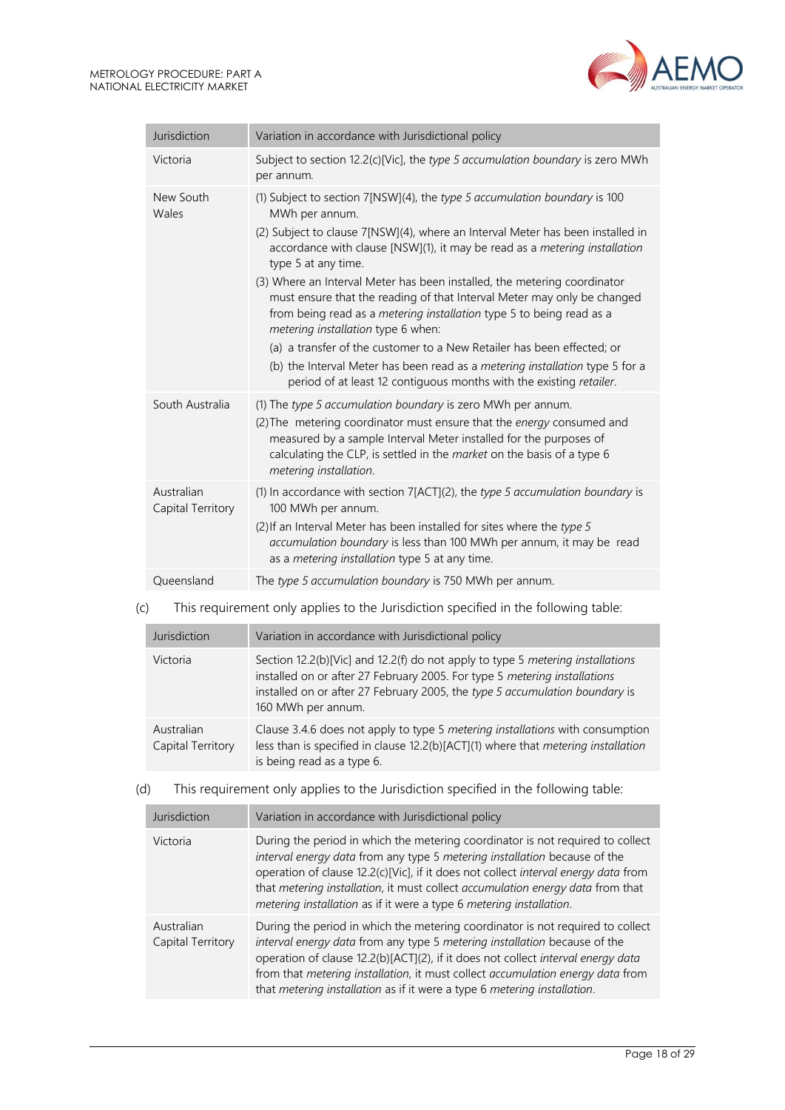

| Jurisdiction                    | Variation in accordance with Jurisdictional policy                                                                                                                                                                                                                                                                                                                                                                                                                                                                                                                                                                                                                                                                                                                                              |
|---------------------------------|-------------------------------------------------------------------------------------------------------------------------------------------------------------------------------------------------------------------------------------------------------------------------------------------------------------------------------------------------------------------------------------------------------------------------------------------------------------------------------------------------------------------------------------------------------------------------------------------------------------------------------------------------------------------------------------------------------------------------------------------------------------------------------------------------|
| Victoria                        | Subject to section 12.2(c)[Vic], the type 5 accumulation boundary is zero MWh<br>per annum.                                                                                                                                                                                                                                                                                                                                                                                                                                                                                                                                                                                                                                                                                                     |
| New South<br>Wales              | (1) Subject to section 7[NSW](4), the type 5 accumulation boundary is 100<br>MWh per annum.<br>(2) Subject to clause 7[NSW](4), where an Interval Meter has been installed in<br>accordance with clause [NSW](1), it may be read as a metering installation<br>type 5 at any time.<br>(3) Where an Interval Meter has been installed, the metering coordinator<br>must ensure that the reading of that Interval Meter may only be changed<br>from being read as a <i>metering installation</i> type 5 to being read as a<br>metering installation type 6 when:<br>(a) a transfer of the customer to a New Retailer has been effected; or<br>(b) the Interval Meter has been read as a metering installation type 5 for a<br>period of at least 12 contiguous months with the existing retailer. |
| South Australia                 | (1) The type 5 accumulation boundary is zero MWh per annum.<br>(2) The metering coordinator must ensure that the energy consumed and<br>measured by a sample Interval Meter installed for the purposes of<br>calculating the CLP, is settled in the market on the basis of a type 6<br>metering installation.                                                                                                                                                                                                                                                                                                                                                                                                                                                                                   |
| Australian<br>Capital Territory | (1) In accordance with section 7[ACT](2), the type 5 accumulation boundary is<br>100 MWh per annum.<br>(2) If an Interval Meter has been installed for sites where the type 5<br>accumulation boundary is less than 100 MWh per annum, it may be read<br>as a metering installation type 5 at any time.                                                                                                                                                                                                                                                                                                                                                                                                                                                                                         |
| Queensland                      | The type 5 accumulation boundary is 750 MWh per annum.                                                                                                                                                                                                                                                                                                                                                                                                                                                                                                                                                                                                                                                                                                                                          |

## (c) This requirement only applies to the Jurisdiction specified in the following table:

| Jurisdiction                    | Variation in accordance with Jurisdictional policy                                                                                                                                                                                                               |
|---------------------------------|------------------------------------------------------------------------------------------------------------------------------------------------------------------------------------------------------------------------------------------------------------------|
| Victoria                        | Section 12.2(b)[Vic] and 12.2(f) do not apply to type 5 metering installations<br>installed on or after 27 February 2005. For type 5 metering installations<br>installed on or after 27 February 2005, the type 5 accumulation boundary is<br>160 MWh per annum. |
| Australian<br>Capital Territory | Clause 3.4.6 does not apply to type 5 metering installations with consumption<br>less than is specified in clause 12.2(b)[ACT](1) where that metering installation<br>is being read as a type 6.                                                                 |

#### (d) This requirement only applies to the Jurisdiction specified in the following table:

| Jurisdiction                    | Variation in accordance with Jurisdictional policy                                                                                                                                                                                                                                                                                                                                                            |  |
|---------------------------------|---------------------------------------------------------------------------------------------------------------------------------------------------------------------------------------------------------------------------------------------------------------------------------------------------------------------------------------------------------------------------------------------------------------|--|
| Victoria                        | During the period in which the metering coordinator is not required to collect<br>interval energy data from any type 5 metering installation because of the<br>operation of clause 12.2(c)[Vic], if it does not collect interval energy data from<br>that metering installation, it must collect accumulation energy data from that<br>metering installation as if it were a type 6 metering installation.    |  |
| Australian<br>Capital Territory | During the period in which the metering coordinator is not required to collect<br>interval energy data from any type 5 metering installation because of the<br>operation of clause 12.2(b)[ACT](2), if it does not collect interval energy data<br>from that metering installation, it must collect accumulation energy data from<br>that metering installation as if it were a type 6 metering installation. |  |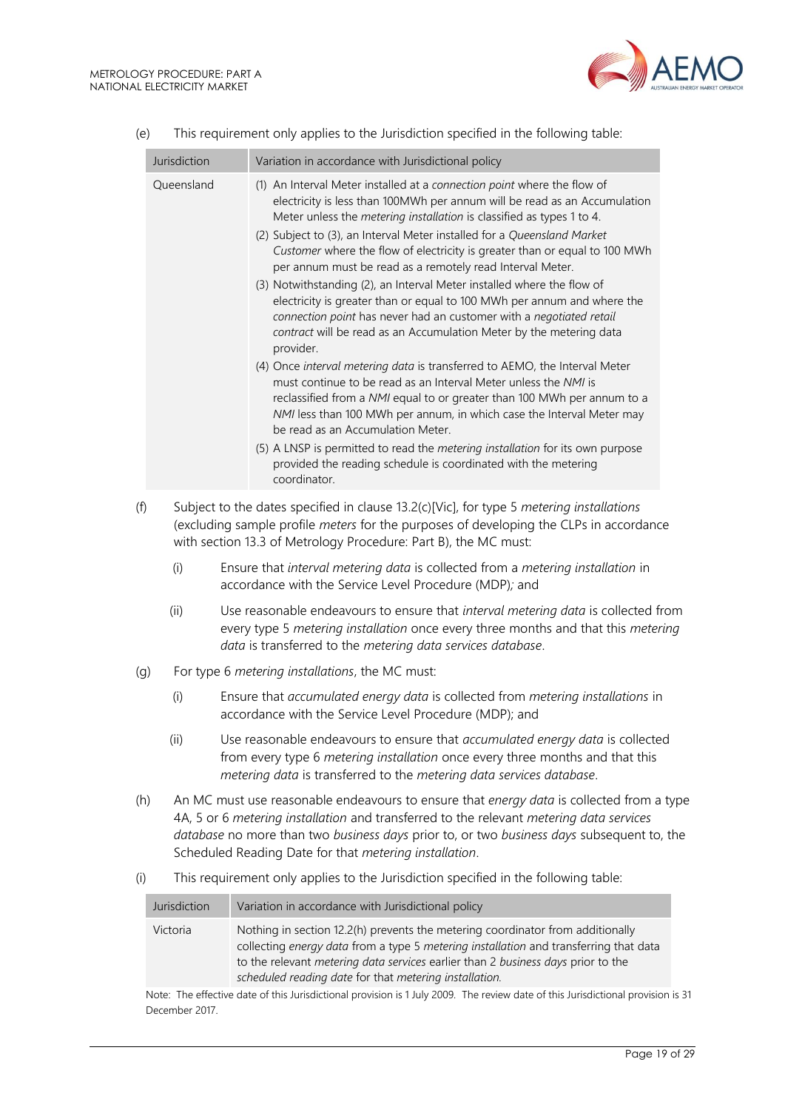the control of the control of the con-



|     | Jurisdiction | Variation in accordance with Jurisdictional policy                                                                                                                                                                                                                                                                                                                                                                                                  |
|-----|--------------|-----------------------------------------------------------------------------------------------------------------------------------------------------------------------------------------------------------------------------------------------------------------------------------------------------------------------------------------------------------------------------------------------------------------------------------------------------|
|     | Queensland   | (1) An Interval Meter installed at a connection point where the flow of<br>electricity is less than 100MWh per annum will be read as an Accumulation<br>Meter unless the metering installation is classified as types 1 to 4.<br>(2) Subject to (3), an Interval Meter installed for a Queensland Market<br>Customer where the flow of electricity is greater than or equal to 100 MWh<br>per annum must be read as a remotely read Interval Meter. |
|     |              | (3) Notwithstanding (2), an Interval Meter installed where the flow of<br>electricity is greater than or equal to 100 MWh per annum and where the<br>connection point has never had an customer with a negotiated retail<br>contract will be read as an Accumulation Meter by the metering data<br>provider.                                                                                                                                        |
|     |              | (4) Once interval metering data is transferred to AEMO, the Interval Meter<br>must continue to be read as an Interval Meter unless the NMI is<br>reclassified from a NMI equal to or greater than 100 MWh per annum to a<br>NMI less than 100 MWh per annum, in which case the Interval Meter may<br>be read as an Accumulation Meter.                                                                                                              |
|     |              | (5) A LNSP is permitted to read the metering installation for its own purpose<br>provided the reading schedule is coordinated with the metering<br>coordinator.                                                                                                                                                                                                                                                                                     |
| (f) |              | Subject to the dates specified in clause 13.2(c)[Vic], for type 5 metering installations<br>(excluding sample profile meters for the purposes of developing the CLPs in accordance<br>with section 13.3 of Metrology Procedure: Part B), the MC must:                                                                                                                                                                                               |
|     | (i)          | Ensure that interval metering data is collected from a metering installation in<br>accordance with the Service Level Procedure (MDP); and                                                                                                                                                                                                                                                                                                           |
|     | (ii)         | Use reasonable endeavours to ensure that interval metering data is collected from<br>every type 5 metering installation once every three months and that this metering<br>data is transferred to the metering data services database.                                                                                                                                                                                                               |
| (g) |              | For type 6 metering installations, the MC must:                                                                                                                                                                                                                                                                                                                                                                                                     |
|     | (i)          | Ensure that accumulated energy data is collected from metering installations in<br>accordance with the Service Level Procedure (MDP); and                                                                                                                                                                                                                                                                                                           |
|     | (ii)         | Use reasonable endeavours to ensure that accumulated energy data is collected<br>from every type 6 metering installation once every three months and that this<br>metering data is transferred to the metering data services database.                                                                                                                                                                                                              |
| (h) |              | An MC must use reasonable endeavours to ensure that energy data is collected from a type<br>4A, 5 or 6 metering installation and transferred to the relevant metering data services<br>database no more than two business days prior to, or two business days subsequent to, the<br>Scheduled Reading Date for that metering installation.                                                                                                          |
| (i) |              | This requirement only applies to the Jurisdiction specified in the following table:                                                                                                                                                                                                                                                                                                                                                                 |

|  | (e) |  |  | This requirement only applies to the Jurisdiction specified in the following table: |
|--|-----|--|--|-------------------------------------------------------------------------------------|
|--|-----|--|--|-------------------------------------------------------------------------------------|

| Jurisdiction | Variation in accordance with Jurisdictional policy                                                                                                                                                                                                                                                                           |
|--------------|------------------------------------------------------------------------------------------------------------------------------------------------------------------------------------------------------------------------------------------------------------------------------------------------------------------------------|
| Victoria     | Nothing in section 12.2(h) prevents the metering coordinator from additionally<br>collecting energy data from a type 5 metering installation and transferring that data<br>to the relevant <i>metering data services</i> earlier than 2 business days prior to the<br>scheduled reading date for that metering installation. |
|              | TALLET THE COMPLETE LICENSE IN A METALLICE STATE OF A LIFT AGAO THE CONTRACT HERE OF A LIFT AND LIFT AND A MANUSCRIPT                                                                                                                                                                                                        |

Note: The effective date of this Jurisdictional provision is 1 July 2009. The review date of this Jurisdictional provision is 31 December 2017.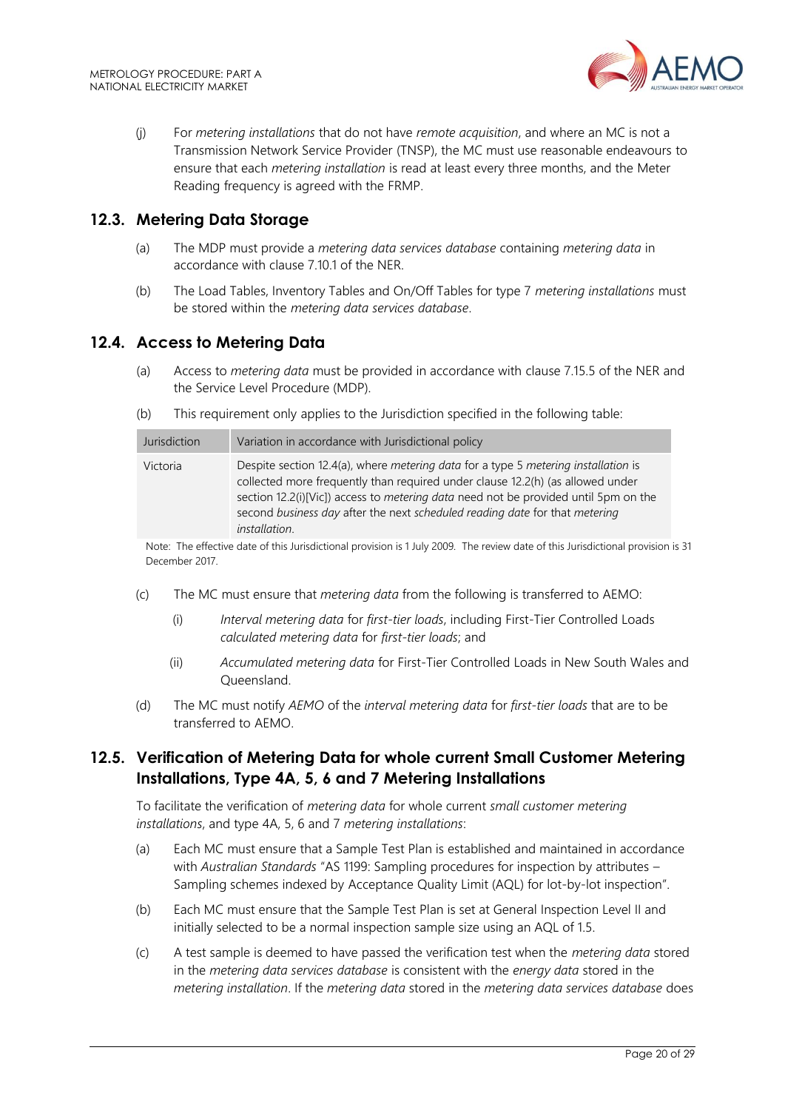

(j) For *metering installations* that do not have *remote acquisition*, and where an MC is not a Transmission Network Service Provider (TNSP), the MC must use reasonable endeavours to ensure that each *metering installation* is read at least every three months, and the Meter Reading frequency is agreed with the FRMP.

## <span id="page-19-0"></span>**12.3. Metering Data Storage**

- (a) The MDP must provide a *metering data services database* containing *metering data* in accordance with clause 7.10.1 of the NER.
- (b) The Load Tables, Inventory Tables and On/Off Tables for type 7 *metering installations* must be stored within the *metering data services database*.

#### <span id="page-19-1"></span>**12.4. Access to Metering Data**

- (a) Access to *metering data* must be provided in accordance with clause 7.15.5 of the NER and the Service Level Procedure (MDP).
- (b) This requirement only applies to the Jurisdiction specified in the following table:

| Jurisdiction | Variation in accordance with Jurisdictional policy                                                                                                                                                                                                                                                                                                                               |
|--------------|----------------------------------------------------------------------------------------------------------------------------------------------------------------------------------------------------------------------------------------------------------------------------------------------------------------------------------------------------------------------------------|
| Victoria     | Despite section 12.4(a), where <i>metering data</i> for a type 5 <i>metering installation</i> is<br>collected more frequently than required under clause 12.2(h) (as allowed under<br>section 12.2(i)[Vic]) access to metering data need not be provided until 5pm on the<br>second business day after the next scheduled reading date for that metering<br><i>installation.</i> |

Note: The effective date of this Jurisdictional provision is 1 July 2009. The review date of this Jurisdictional provision is 31 December 2017.

- (c) The MC must ensure that *metering data* from the following is transferred to AEMO:
	- (i) *Interval metering data* for *first-tier loads*, including First-Tier Controlled Loads *calculated metering data* for *first-tier loads*; and
	- (ii) *Accumulated metering data* for First-Tier Controlled Loads in New South Wales and Queensland.
- (d) The MC must notify *AEMO* of the *interval metering data* for *first-tier loads* that are to be transferred to AEMO.

## <span id="page-19-2"></span>**12.5. Verification of Metering Data for whole current Small Customer Metering Installations, Type 4A, 5, 6 and 7 Metering Installations**

To facilitate the verification of *metering data* for whole current *small customer metering installations*, and type 4A, 5, 6 and 7 *metering installations*:

- (a) Each MC must ensure that a Sample Test Plan is established and maintained in accordance with *Australian Standards* "AS 1199: Sampling procedures for inspection by attributes – Sampling schemes indexed by Acceptance Quality Limit (AQL) for lot-by-lot inspection".
- (b) Each MC must ensure that the Sample Test Plan is set at General Inspection Level II and initially selected to be a normal inspection sample size using an AQL of 1.5.
- (c) A test sample is deemed to have passed the verification test when the *metering data* stored in the *metering data services database* is consistent with the *energy data* stored in the *metering installation*. If the *metering data* stored in the *metering data services database* does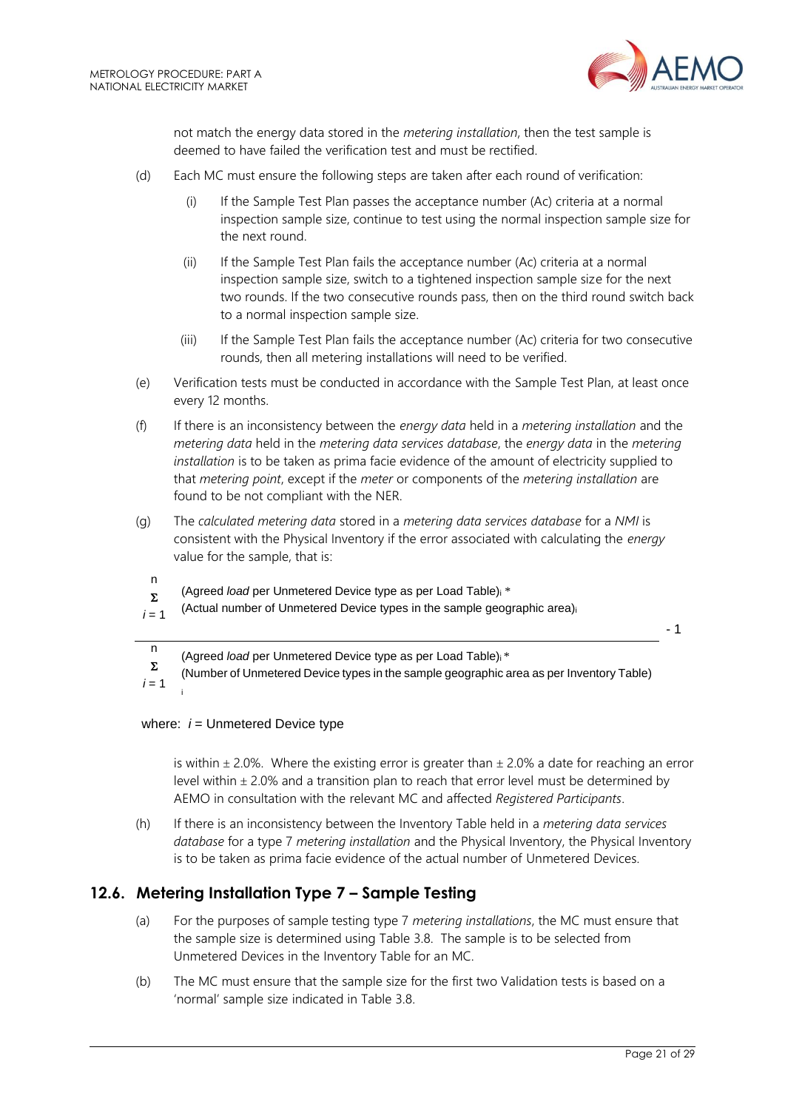

not match the energy data stored in the *metering installation*, then the test sample is deemed to have failed the verification test and must be rectified.

- (d) Each MC must ensure the following steps are taken after each round of verification:
	- (i) If the Sample Test Plan passes the acceptance number (Ac) criteria at a normal inspection sample size, continue to test using the normal inspection sample size for the next round.
	- (ii) If the Sample Test Plan fails the acceptance number (Ac) criteria at a normal inspection sample size, switch to a tightened inspection sample size for the next two rounds. If the two consecutive rounds pass, then on the third round switch back to a normal inspection sample size.
	- (iii) If the Sample Test Plan fails the acceptance number (Ac) criteria for two consecutive rounds, then all metering installations will need to be verified.
- (e) Verification tests must be conducted in accordance with the Sample Test Plan, at least once every 12 months.
- (f) If there is an inconsistency between the *energy data* held in a *metering installation* and the *metering data* held in the *metering data services database*, the *energy data* in the *metering installation* is to be taken as prima facie evidence of the amount of electricity supplied to that *metering point*, except if the *meter* or components of the *metering installation* are found to be not compliant with the NER.
- (g) The *calculated metering data* stored in a *metering data services database* for a *NMI* is consistent with the Physical Inventory if the error associated with calculating the *energy* value for the sample, that is:
	- n  $\Sigma$ (Agreed *load* per Unmetered Device type as per Load Table)<sup>i</sup> \*
- $i = 1$ (Actual number of Unmetered Device types in the sample geographic area)<sup>i</sup>

- 1

n (Agreed *load* per Unmetered Device type as per Load Table)i \*

 $\Sigma$ (Number of Unmetered Device types in the sample geographic area as per Inventory Table)

 $i = 1$ i

#### where:  $i =$  Unmetered Device type

is within  $\pm$  2.0%. Where the existing error is greater than  $\pm$  2.0% a date for reaching an error level within  $\pm$  2.0% and a transition plan to reach that error level must be determined by AEMO in consultation with the relevant MC and affected *Registered Participants*.

(h) If there is an inconsistency between the Inventory Table held in a *metering data services database* for a type 7 *metering installation* and the Physical Inventory, the Physical Inventory is to be taken as prima facie evidence of the actual number of Unmetered Devices.

# <span id="page-20-0"></span>**12.6. Metering Installation Type 7 – Sample Testing**

- (a) For the purposes of sample testing type 7 *metering installations*, the MC must ensure that the sample size is determined using Table 3.8. The sample is to be selected from Unmetered Devices in the Inventory Table for an MC.
- (b) The MC must ensure that the sample size for the first two Validation tests is based on a 'normal' sample size indicated in Table 3.8.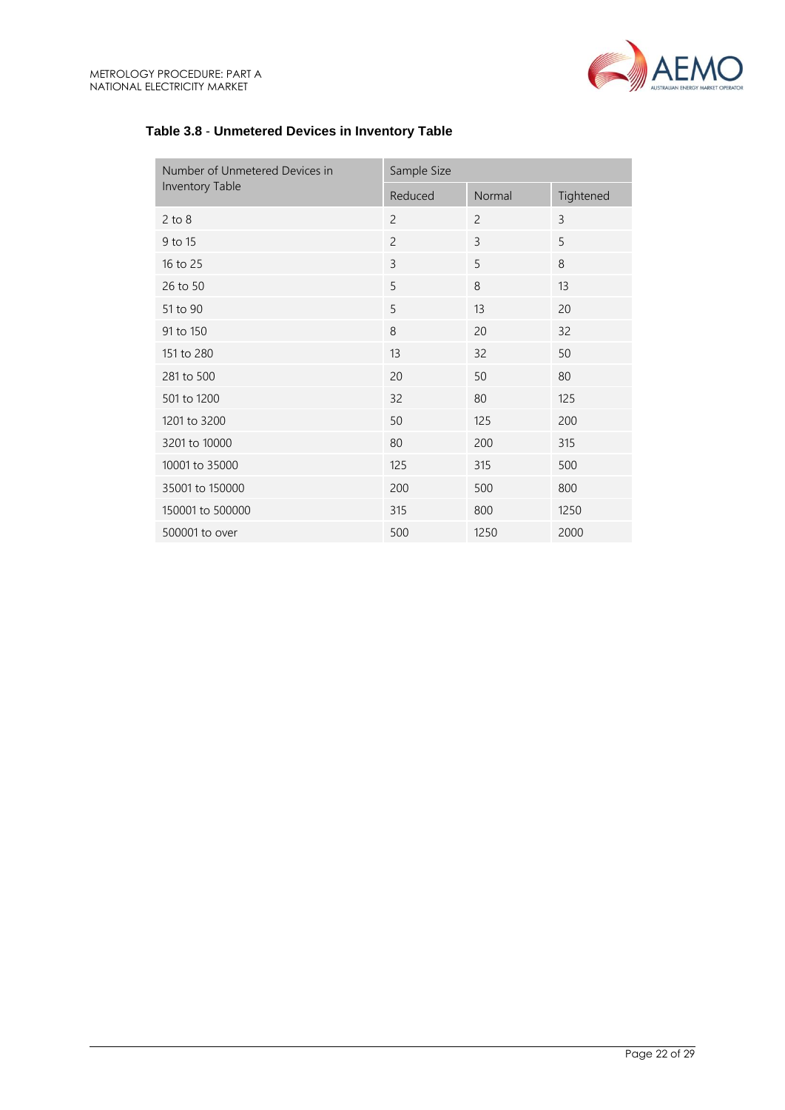

| Number of Unmetered Devices in | Sample Size    |                |           |  |
|--------------------------------|----------------|----------------|-----------|--|
| Inventory Table                | Reduced        | Normal         | Tightened |  |
| $2$ to $8$                     | $\overline{2}$ | $\overline{c}$ | 3         |  |
| 9 to 15                        | $\overline{c}$ | 3              | 5         |  |
| 16 to 25                       | 3              | 5              | 8         |  |
| 26 to 50                       | 5              | 8              | 13        |  |
| 51 to 90                       | 5              | 13             | 20        |  |
| 91 to 150                      | 8              | 20             | 32        |  |
| 151 to 280                     | 13             | 32             | 50        |  |
| 281 to 500                     | 20             | 50             | 80        |  |
| 501 to 1200                    | 32             | 80             | 125       |  |
| 1201 to 3200                   | 50             | 125            | 200       |  |
| 3201 to 10000                  | 80             | 200            | 315       |  |
| 10001 to 35000                 | 125            | 315            | 500       |  |
| 35001 to 150000                | 200            | 500            | 800       |  |
| 150001 to 500000               | 315            | 800            | 1250      |  |
| 500001 to over                 | 500            | 1250           | 2000      |  |

## **Table 3.8** - **Unmetered Devices in Inventory Table**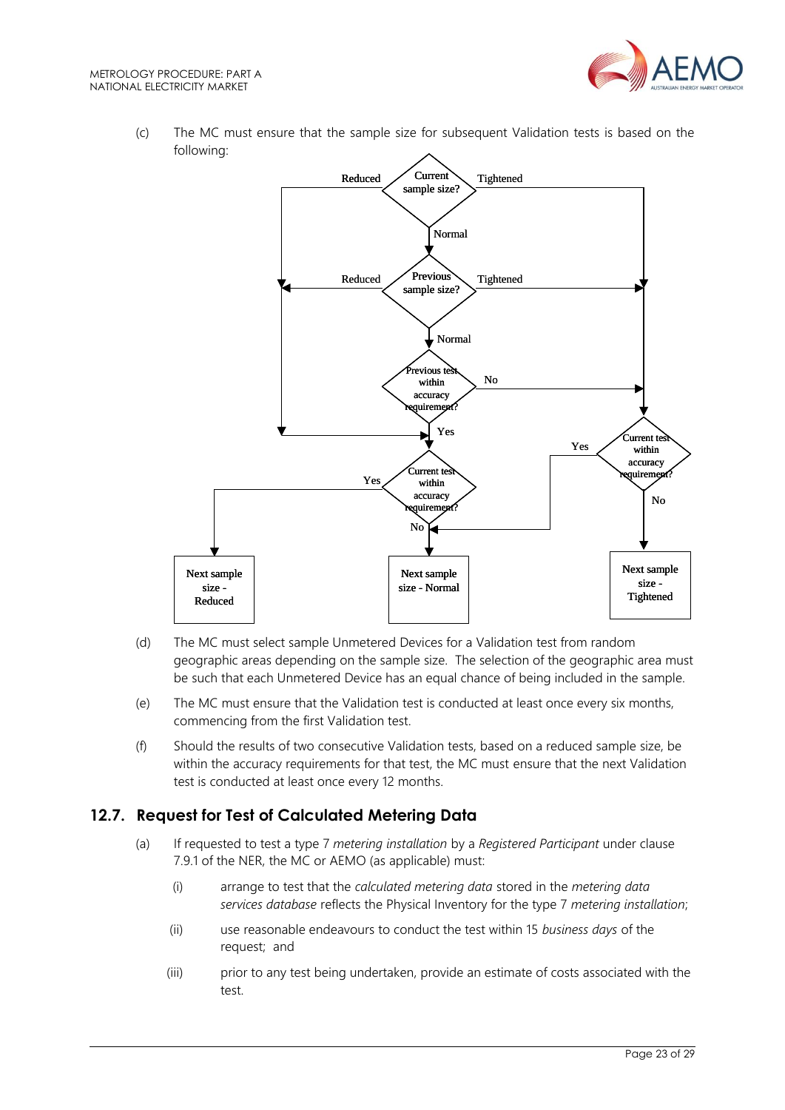

(c) The MC must ensure that the sample size for subsequent Validation tests is based on the following:



- (d) The MC must select sample Unmetered Devices for a Validation test from random geographic areas depending on the sample size. The selection of the geographic area must be such that each Unmetered Device has an equal chance of being included in the sample.
- (e) The MC must ensure that the Validation test is conducted at least once every six months, commencing from the first Validation test.
- (f) Should the results of two consecutive Validation tests, based on a reduced sample size, be within the accuracy requirements for that test, the MC must ensure that the next Validation test is conducted at least once every 12 months.

# <span id="page-22-0"></span>**12.7. Request for Test of Calculated Metering Data**

- (a) If requested to test a type 7 *metering installation* by a *Registered Participant* under clause 7.9.1 of the NER, the MC or AEMO (as applicable) must:
	- (i) arrange to test that the *calculated metering data* stored in the *metering data services database* reflects the Physical Inventory for the type 7 *metering installation*;
	- (ii) use reasonable endeavours to conduct the test within 15 *business days* of the request; and
	- (iii) prior to any test being undertaken, provide an estimate of costs associated with the test.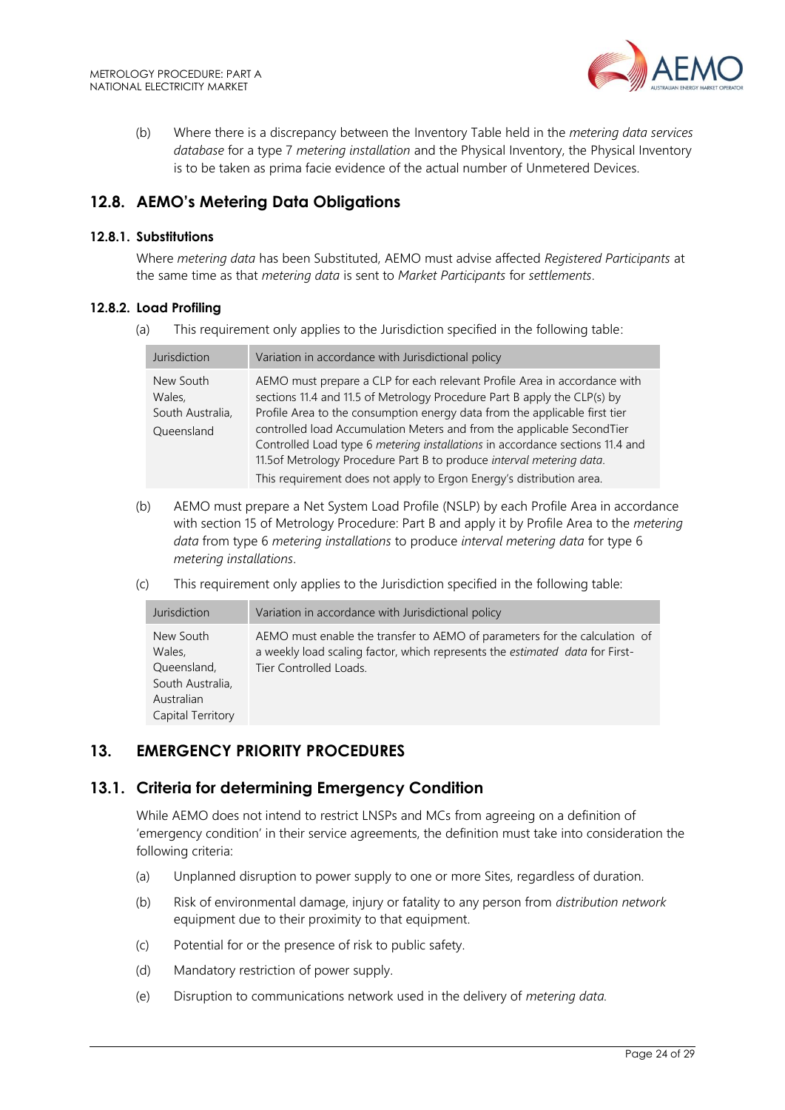

(b) Where there is a discrepancy between the Inventory Table held in the *metering data services database* for a type 7 *metering installation* and the Physical Inventory, the Physical Inventory is to be taken as prima facie evidence of the actual number of Unmetered Devices.

# <span id="page-23-0"></span>**12.8. AEMO's Metering Data Obligations**

#### **12.8.1. Substitutions**

Where *metering data* has been Substituted, AEMO must advise affected *Registered Participants* at the same time as that *metering data* is sent to *Market Participants* for *settlements*.

#### **12.8.2. Load Profiling**

(a) This requirement only applies to the Jurisdiction specified in the following table:

| Jurisdiction                                          | Variation in accordance with Jurisdictional policy                                                                                                                                                                                                                                                                                                                                                                                                                                                                                             |
|-------------------------------------------------------|------------------------------------------------------------------------------------------------------------------------------------------------------------------------------------------------------------------------------------------------------------------------------------------------------------------------------------------------------------------------------------------------------------------------------------------------------------------------------------------------------------------------------------------------|
| New South<br>Wales,<br>South Australia,<br>Queensland | AEMO must prepare a CLP for each relevant Profile Area in accordance with<br>sections 11.4 and 11.5 of Metrology Procedure Part B apply the CLP(s) by<br>Profile Area to the consumption energy data from the applicable first tier<br>controlled load Accumulation Meters and from the applicable SecondTier<br>Controlled Load type 6 metering installations in accordance sections 11.4 and<br>11.5of Metrology Procedure Part B to produce interval metering data.<br>This requirement does not apply to Ergon Energy's distribution area. |

- (b) AEMO must prepare a Net System Load Profile (NSLP) by each Profile Area in accordance with section 15 of Metrology Procedure: Part B and apply it by Profile Area to the *metering data* from type 6 *metering installations* to produce *interval metering data* for type 6 *metering installations*.
- (c) This requirement only applies to the Jurisdiction specified in the following table:

| Jurisdiction                                                                              | Variation in accordance with Jurisdictional policy                                                                                                                                   |
|-------------------------------------------------------------------------------------------|--------------------------------------------------------------------------------------------------------------------------------------------------------------------------------------|
| New South<br>Wales.<br>Queensland,<br>South Australia,<br>Australian<br>Capital Territory | AEMO must enable the transfer to AEMO of parameters for the calculation of<br>a weekly load scaling factor, which represents the estimated data for First-<br>Tier Controlled Loads. |

# <span id="page-23-1"></span>**13. EMERGENCY PRIORITY PROCEDURES**

## <span id="page-23-2"></span>**13.1. Criteria for determining Emergency Condition**

While AEMO does not intend to restrict LNSPs and MCs from agreeing on a definition of 'emergency condition' in their service agreements, the definition must take into consideration the following criteria:

- (a) Unplanned disruption to power supply to one or more Sites, regardless of duration.
- (b) Risk of environmental damage, injury or fatality to any person from *distribution network* equipment due to their proximity to that equipment.
- (c) Potential for or the presence of risk to public safety.
- (d) Mandatory restriction of power supply.
- (e) Disruption to communications network used in the delivery of *metering data.*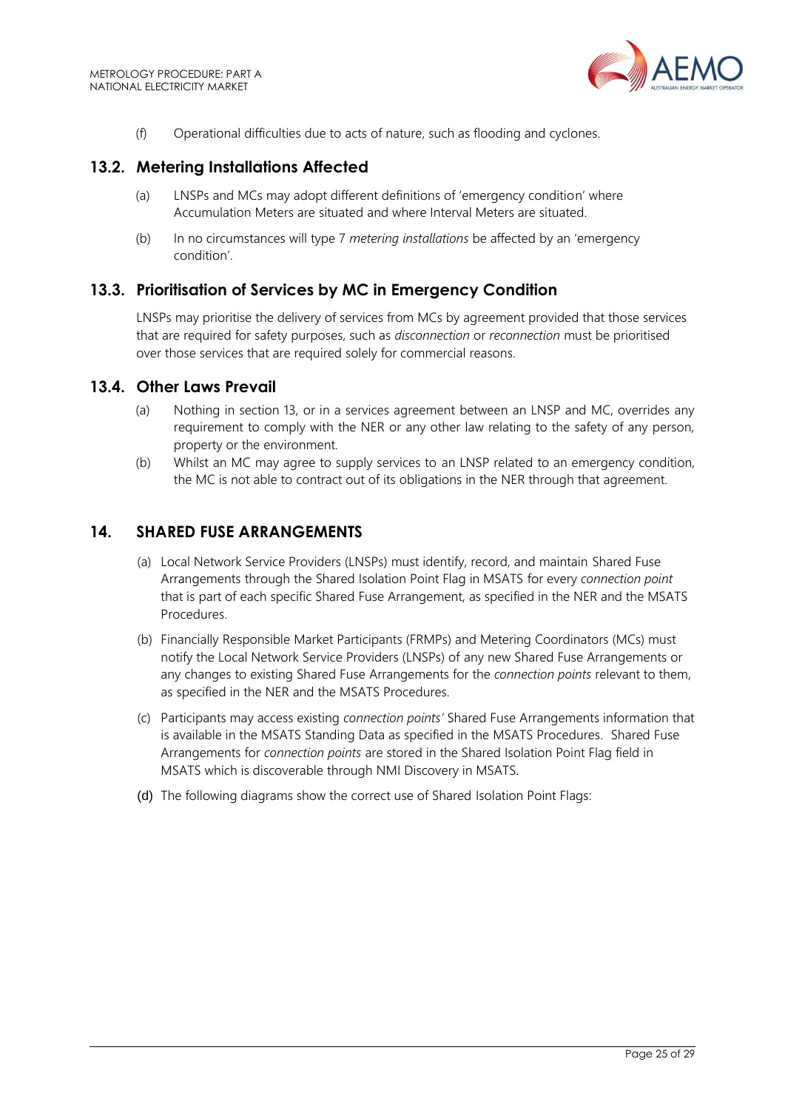

(f) Operational difficulties due to acts of nature, such as flooding and cyclones.

## <span id="page-24-0"></span>**13.2. Metering Installations Affected**

- (a) LNSPs and MCs may adopt different definitions of 'emergency condition' where Accumulation Meters are situated and where Interval Meters are situated.
- (b) In no circumstances will type 7 *metering installations* be affected by an 'emergency condition'.

## <span id="page-24-1"></span>**13.3. Prioritisation of Services by MC in Emergency Condition**

LNSPs may prioritise the delivery of services from MCs by agreement provided that those services that are required for safety purposes, such as *disconnection* or *reconnection* must be prioritised over those services that are required solely for commercial reasons.

#### <span id="page-24-2"></span>**13.4. Other Laws Prevail**

- (a) Nothing in section 13, or in a services agreement between an LNSP and MC, overrides any requirement to comply with the NER or any other law relating to the safety of any person, property or the environment.
- (b) Whilst an MC may agree to supply services to an LNSP related to an emergency condition, the MC is not able to contract out of its obligations in the NER through that agreement.

## <span id="page-24-3"></span>**14. SHARED FUSE ARRANGEMENTS**

- (a) Local Network Service Providers (LNSPs) must identify, record, and maintain Shared Fuse Arrangements through the Shared Isolation Point Flag in MSATS for every *connection point* that is part of each specific Shared Fuse Arrangement, as specified in the NER and the MSATS Procedures.
- (b) Financially Responsible Market Participants (FRMPs) and Metering Coordinators (MCs) must notify the Local Network Service Providers (LNSPs) of any new Shared Fuse Arrangements or any changes to existing Shared Fuse Arrangements for the *connection points* relevant to them, as specified in the NER and the MSATS Procedures.
- (c) Participants may access existing *connection points'* Shared Fuse Arrangements information that is available in the MSATS Standing Data as specified in the MSATS Procedures. Shared Fuse Arrangements for *connection points* are stored in the Shared Isolation Point Flag field in MSATS which is discoverable through NMI Discovery in MSATS.
- (d) The following diagrams show the correct use of Shared Isolation Point Flags: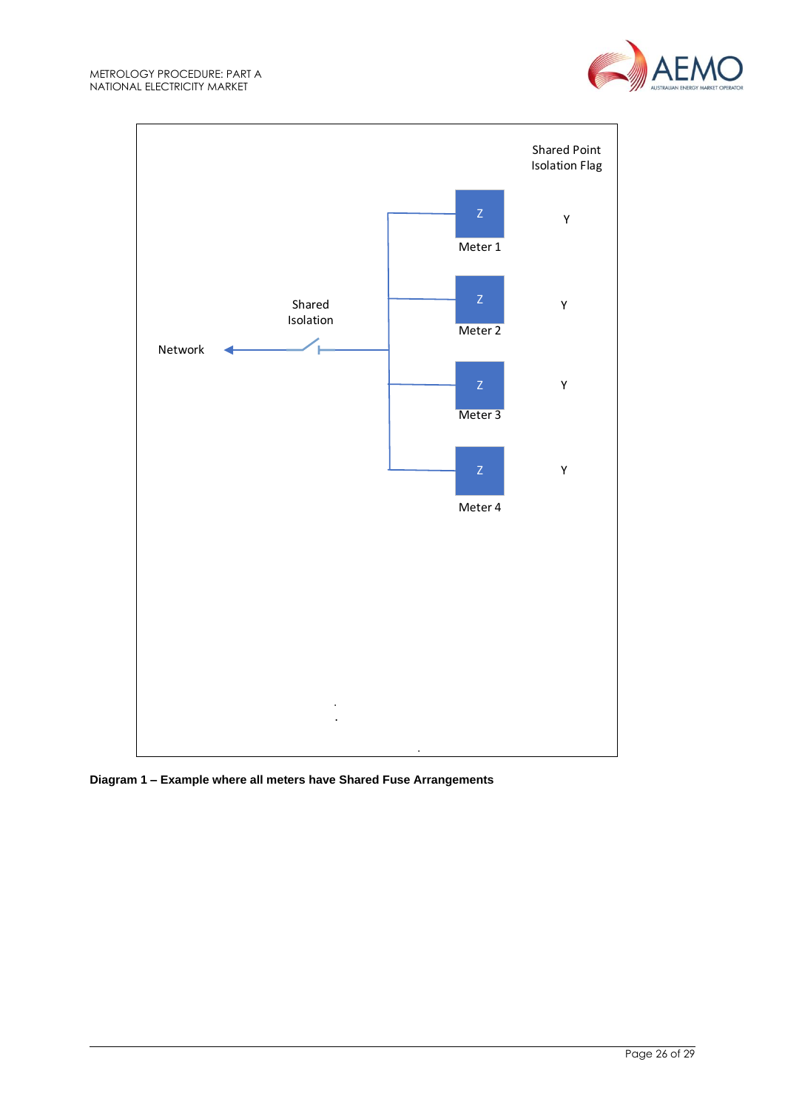



**Diagram 1 – Example where all meters have Shared Fuse Arrangements**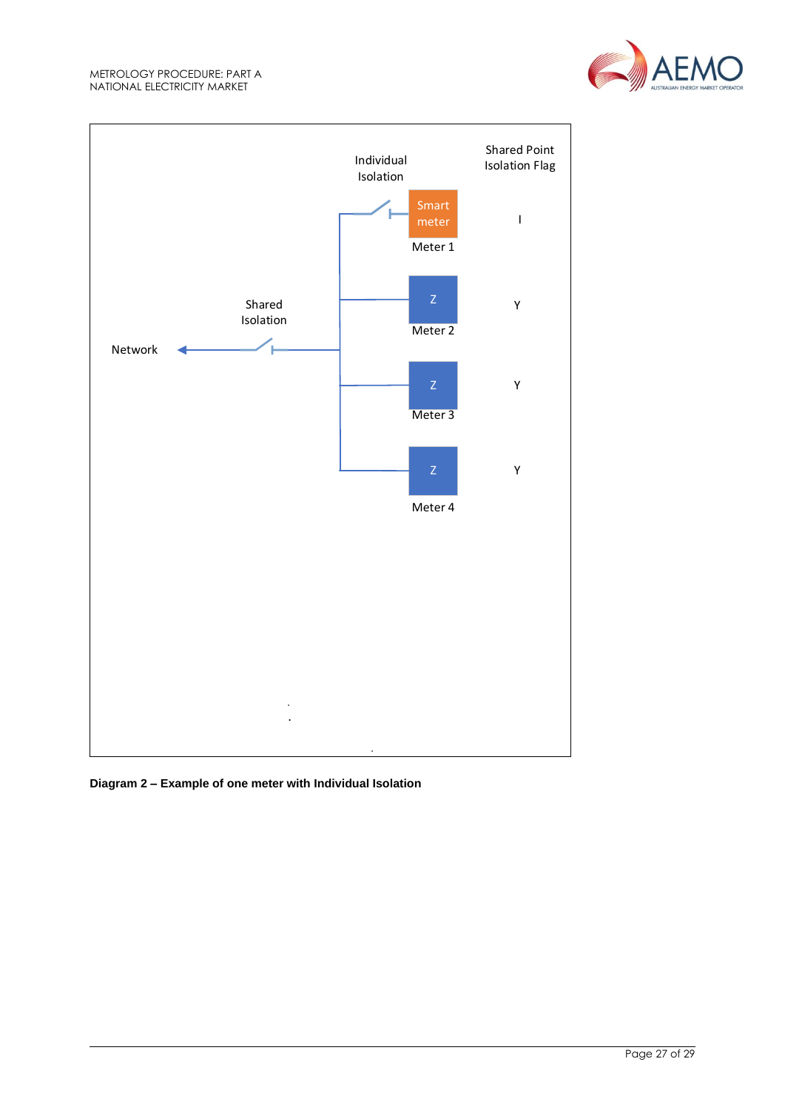



**Diagram 2 – Example of one meter with Individual Isolation**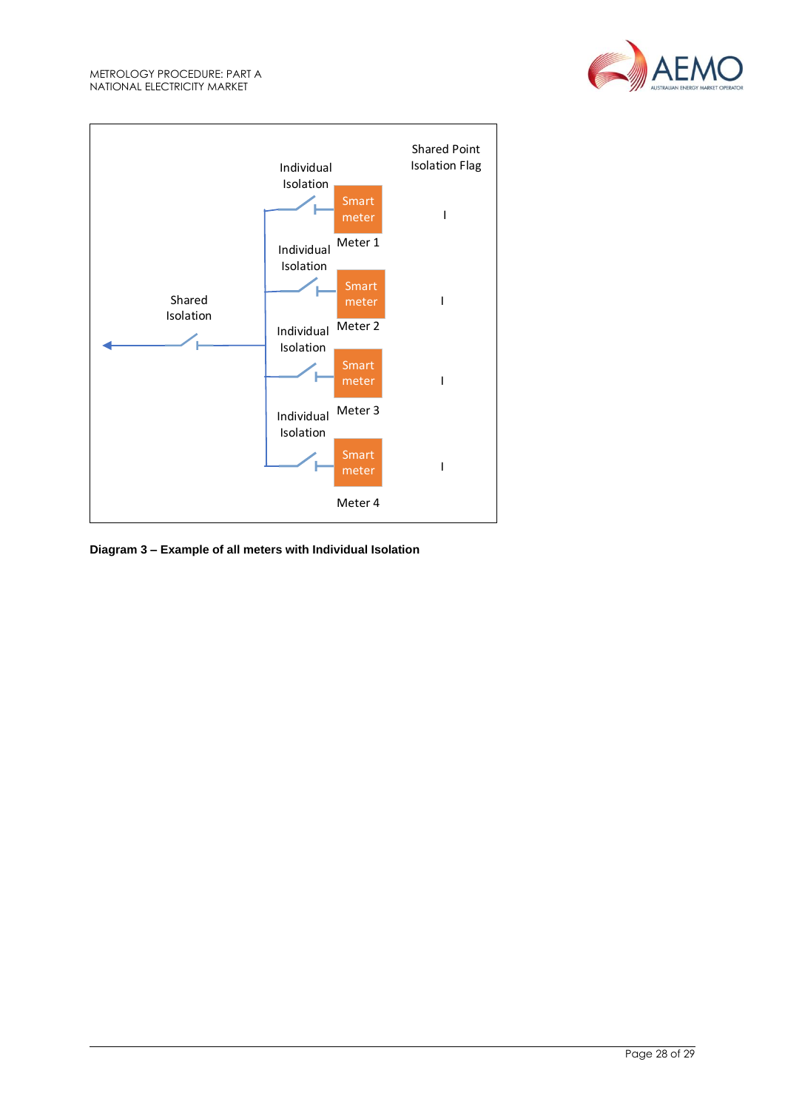



**Diagram 3 – Example of all meters with Individual Isolation**